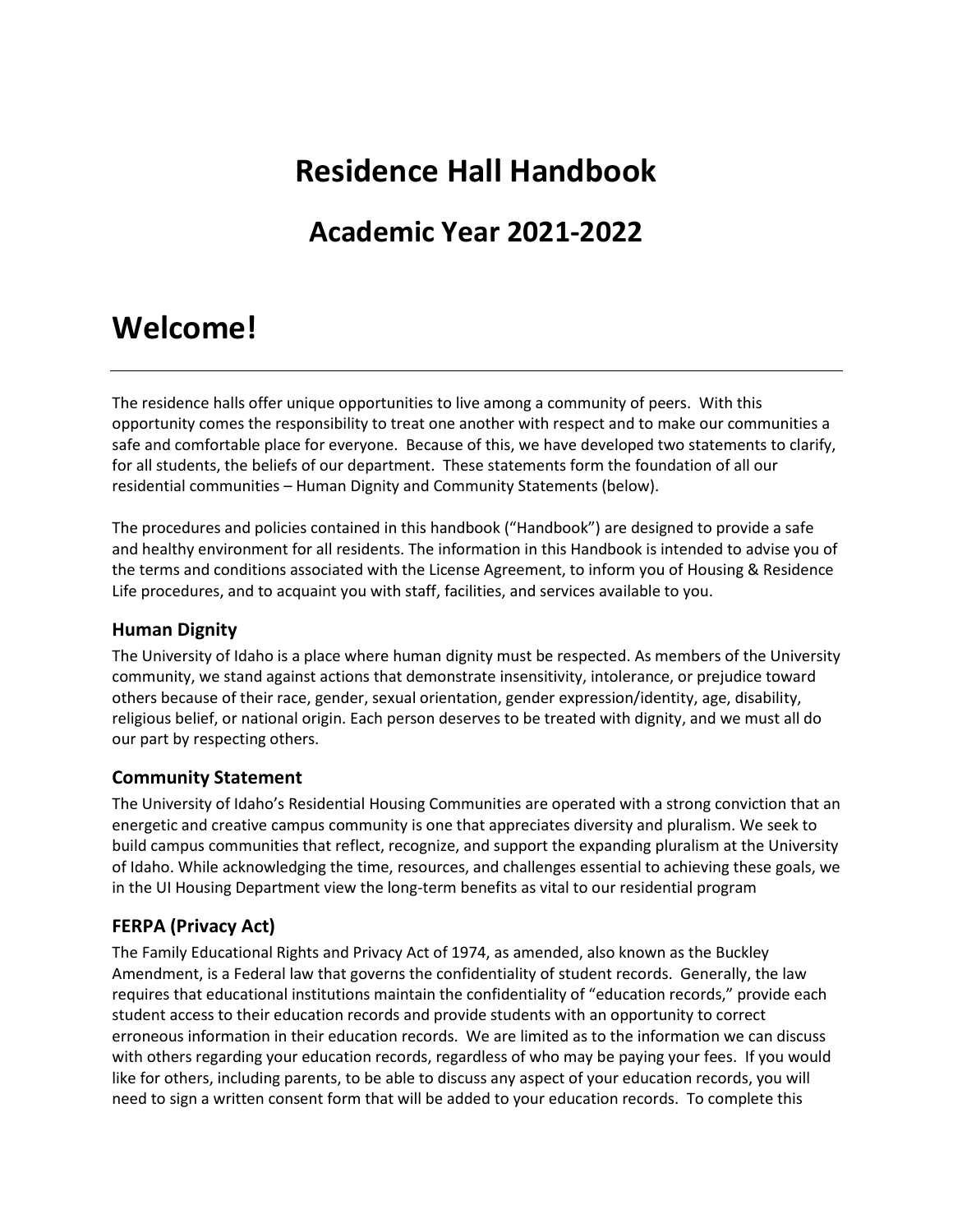# **Residence Hall Handbook**

# **Academic Year 2021-2022**

# **Welcome!**

The residence halls offer unique opportunities to live among a community of peers. With this opportunity comes the responsibility to treat one another with respect and to make our communities a safe and comfortable place for everyone. Because of this, we have developed two statements to clarify, for all students, the beliefs of our department. These statements form the foundation of all our residential communities – Human Dignity and Community Statements (below).

The procedures and policies contained in this handbook ("Handbook") are designed to provide a safe and healthy environment for all residents. The information in this Handbook is intended to advise you of the terms and conditions associated with the License Agreement, to inform you of Housing & Residence Life procedures, and to acquaint you with staff, facilities, and services available to you.

# **Human Dignity**

The University of Idaho is a place where human dignity must be respected. As members of the University community, we stand against actions that demonstrate insensitivity, intolerance, or prejudice toward others because of their race, gender, sexual orientation, gender expression/identity, age, disability, religious belief, or national origin. Each person deserves to be treated with dignity, and we must all do our part by respecting others.

# **Community Statement**

The University of Idaho's Residential Housing Communities are operated with a strong conviction that an energetic and creative campus community is one that appreciates diversity and pluralism. We seek to build campus communities that reflect, recognize, and support the expanding pluralism at the University of Idaho. While acknowledging the time, resources, and challenges essential to achieving these goals, we in the UI Housing Department view the long-term benefits as vital to our residential program

# **FERPA (Privacy Act)**

The Family Educational Rights and Privacy Act of 1974, as amended, also known as the Buckley Amendment, is a Federal law that governs the confidentiality of student records. Generally, the law requires that educational institutions maintain the confidentiality of "education records," provide each student access to their education records and provide students with an opportunity to correct erroneous information in their education records. We are limited as to the information we can discuss with others regarding your education records, regardless of who may be paying your fees. If you would like for others, including parents, to be able to discuss any aspect of your education records, you will need to sign a written consent form that will be added to your education records. To complete this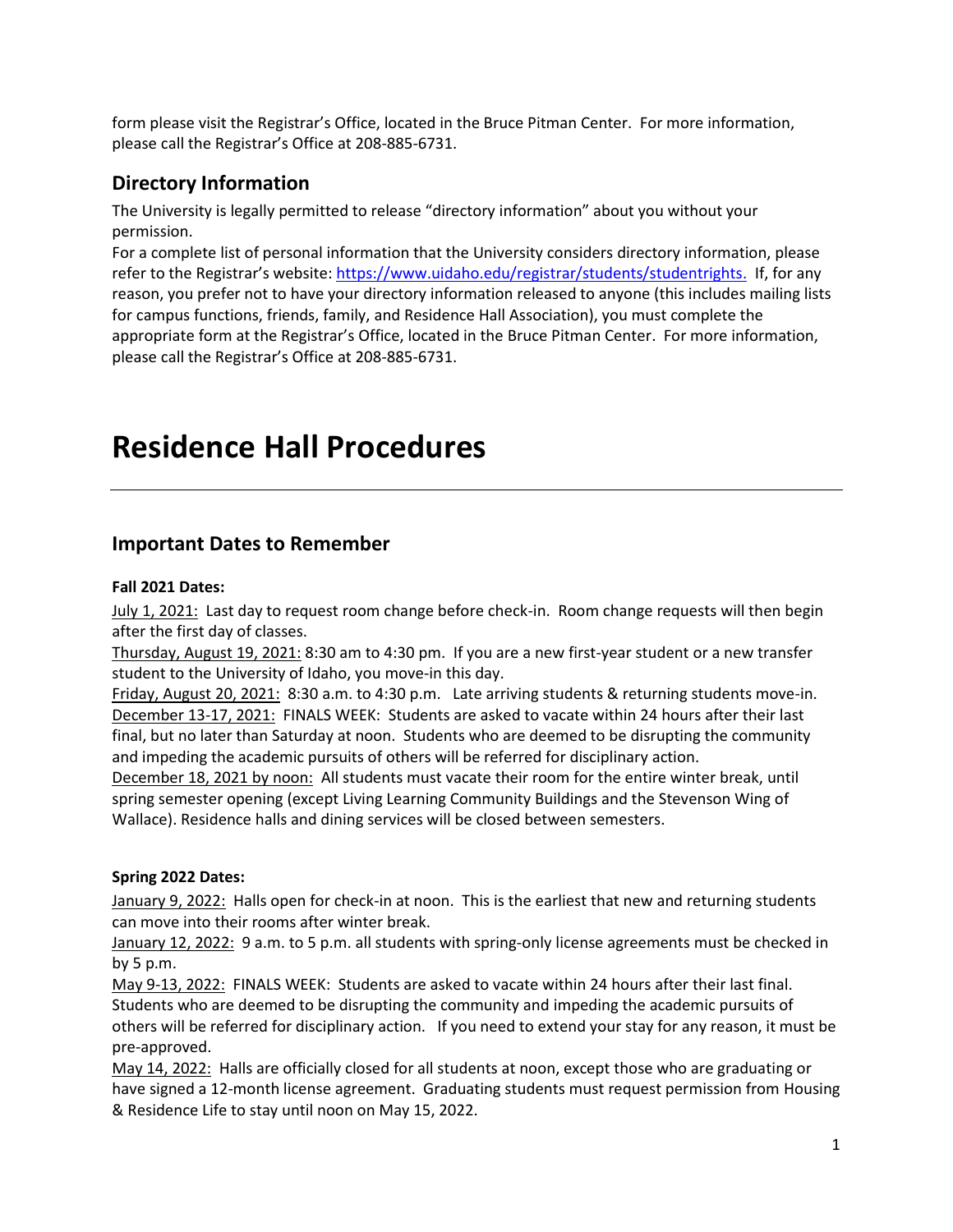form please visit the Registrar's Office, located in the Bruce Pitman Center. For more information, please call the Registrar's Office at 208-885-6731.

# **Directory Information**

The University is legally permitted to release "directory information" about you without your permission.

For a complete list of personal information that the University considers directory information, please refer to the Registrar's website: https://www.uidaho.edu/registrar/students/studentrights. If, for any reason, you prefer not to have your directory information released to anyone (this includes mailing lists for campus functions, friends, family, and Residence Hall Association), you must complete the appropriate form at the Registrar's Office, located in the Bruce Pitman Center. For more information, please call the Registrar's Office at 208-885-6731.

# **Residence Hall Procedures**

# **Important Dates to Remember**

# **Fall 2021 Dates:**

July 1, 2021: Last day to request room change before check-in. Room change requests will then begin after the first day of classes.

Thursday, August 19, 2021: 8:30 am to 4:30 pm. If you are a new first-year student or a new transfer student to the University of Idaho, you move-in this day.

Friday, August 20, 2021: 8:30 a.m. to 4:30 p.m. Late arriving students & returning students move-in. December 13-17, 2021: FINALS WEEK: Students are asked to vacate within 24 hours after their last final, but no later than Saturday at noon. Students who are deemed to be disrupting the community and impeding the academic pursuits of others will be referred for disciplinary action.

December 18, 2021 by noon: All students must vacate their room for the entire winter break, until spring semester opening (except Living Learning Community Buildings and the Stevenson Wing of Wallace). Residence halls and dining services will be closed between semesters.

#### **Spring 2022 Dates:**

January 9, 2022: Halls open for check-in at noon. This is the earliest that new and returning students can move into their rooms after winter break.

January 12, 2022: 9 a.m. to 5 p.m. all students with spring-only license agreements must be checked in by 5 p.m.

May 9-13, 2022: FINALS WEEK: Students are asked to vacate within 24 hours after their last final. Students who are deemed to be disrupting the community and impeding the academic pursuits of others will be referred for disciplinary action. If you need to extend your stay for any reason, it must be pre-approved.

May 14, 2022: Halls are officially closed for all students at noon, except those who are graduating or have signed a 12-month license agreement. Graduating students must request permission from Housing & Residence Life to stay until noon on May 15, 2022.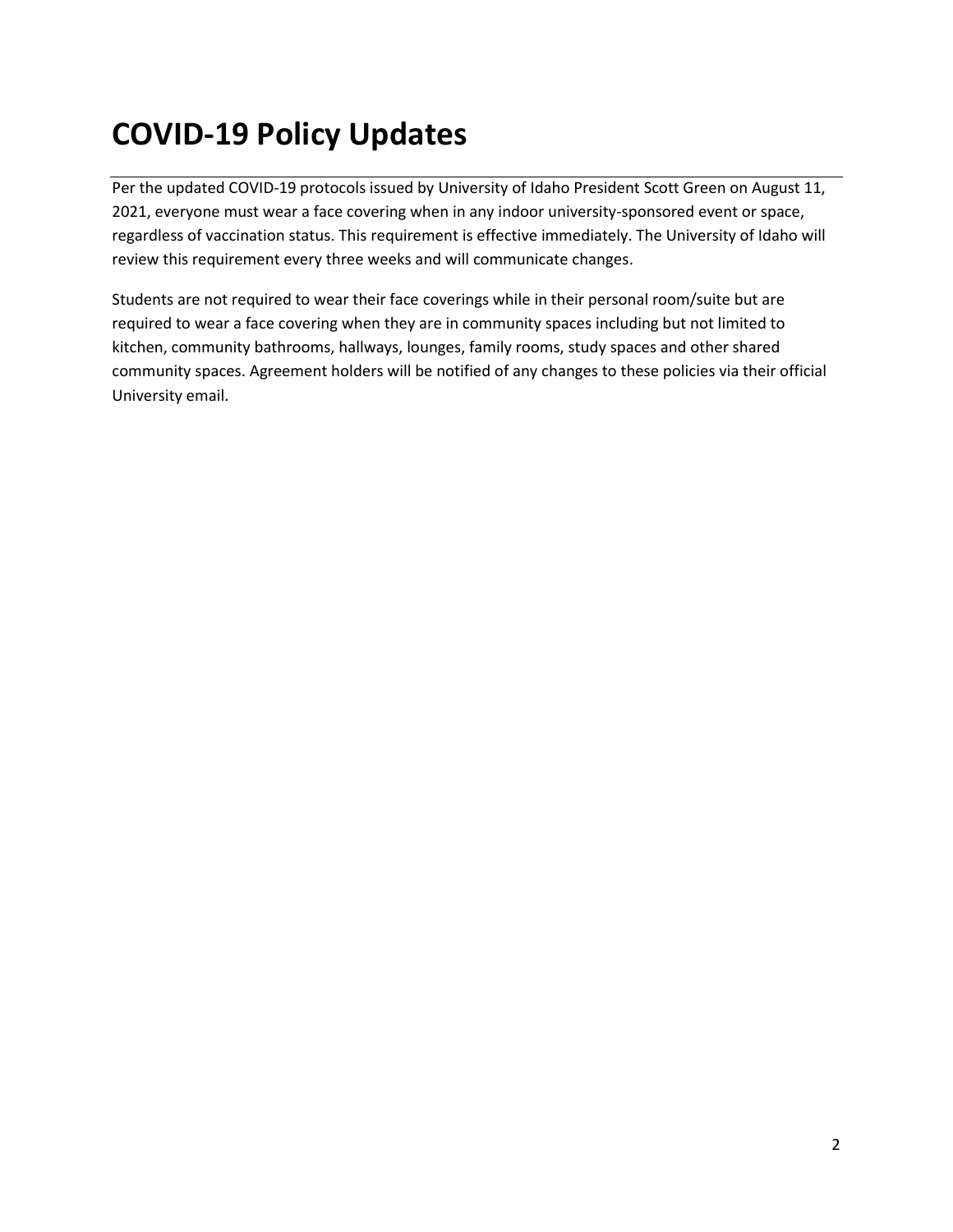# **COVID-19 Policy Updates**

Per the updated COVID-19 protocols issued by University of Idaho President Scott Green on August 11, 2021, everyone must wear a face covering when in any indoor university-sponsored event or space, regardless of vaccination status. This requirement is effective immediately. The University of Idaho will review this requirement every three weeks and will communicate changes.

Students are not required to wear their face coverings while in their personal room/suite but are required to wear a face covering when they are in community spaces including but not limited to kitchen, community bathrooms, hallways, lounges, family rooms, study spaces and other shared community spaces. Agreement holders will be notified of any changes to these policies via their official University email.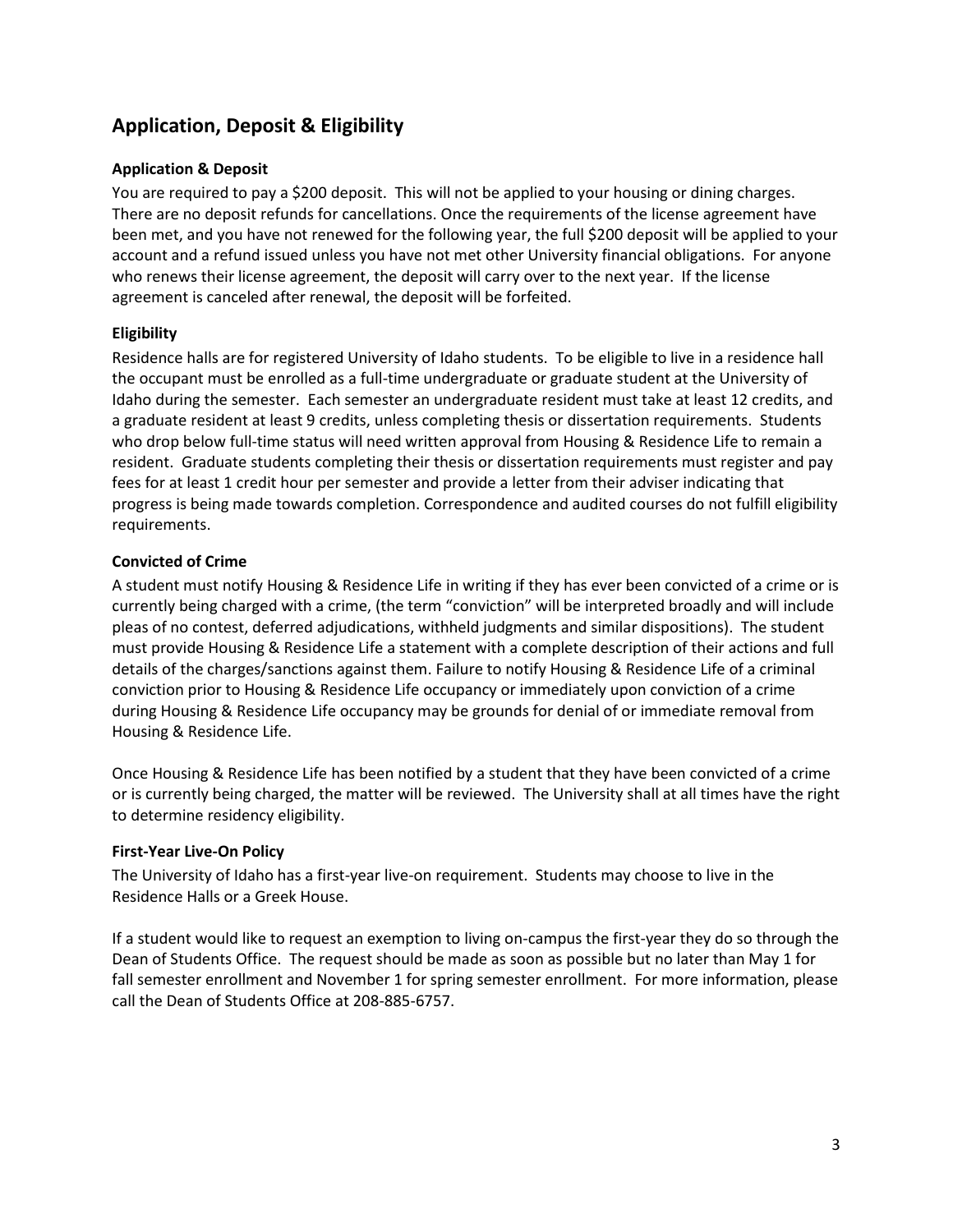# **Application, Deposit & Eligibility**

# **Application & Deposit**

You are required to pay a \$200 deposit. This will not be applied to your housing or dining charges. There are no deposit refunds for cancellations. Once the requirements of the license agreement have been met, and you have not renewed for the following year, the full \$200 deposit will be applied to your account and a refund issued unless you have not met other University financial obligations. For anyone who renews their license agreement, the deposit will carry over to the next year. If the license agreement is canceled after renewal, the deposit will be forfeited.

# **Eligibility**

Residence halls are for registered University of Idaho students. To be eligible to live in a residence hall the occupant must be enrolled as a full-time undergraduate or graduate student at the University of Idaho during the semester. Each semester an undergraduate resident must take at least 12 credits, and a graduate resident at least 9 credits, unless completing thesis or dissertation requirements. Students who drop below full-time status will need written approval from Housing & Residence Life to remain a resident. Graduate students completing their thesis or dissertation requirements must register and pay fees for at least 1 credit hour per semester and provide a letter from their adviser indicating that progress is being made towards completion. Correspondence and audited courses do not fulfill eligibility requirements.

# **Convicted of Crime**

A student must notify Housing & Residence Life in writing if they has ever been convicted of a crime or is currently being charged with a crime, (the term "conviction" will be interpreted broadly and will include pleas of no contest, deferred adjudications, withheld judgments and similar dispositions). The student must provide Housing & Residence Life a statement with a complete description of their actions and full details of the charges/sanctions against them. Failure to notify Housing & Residence Life of a criminal conviction prior to Housing & Residence Life occupancy or immediately upon conviction of a crime during Housing & Residence Life occupancy may be grounds for denial of or immediate removal from Housing & Residence Life.

Once Housing & Residence Life has been notified by a student that they have been convicted of a crime or is currently being charged, the matter will be reviewed. The University shall at all times have the right to determine residency eligibility.

#### **First-Year Live-On Policy**

The University of Idaho has a first-year live-on requirement. Students may choose to live in the Residence Halls or a Greek House.

If a student would like to request an exemption to living on-campus the first-year they do so through the Dean of Students Office. The request should be made as soon as possible but no later than May 1 for fall semester enrollment and November 1 for spring semester enrollment. For more information, please call the Dean of Students Office at 208-885-6757.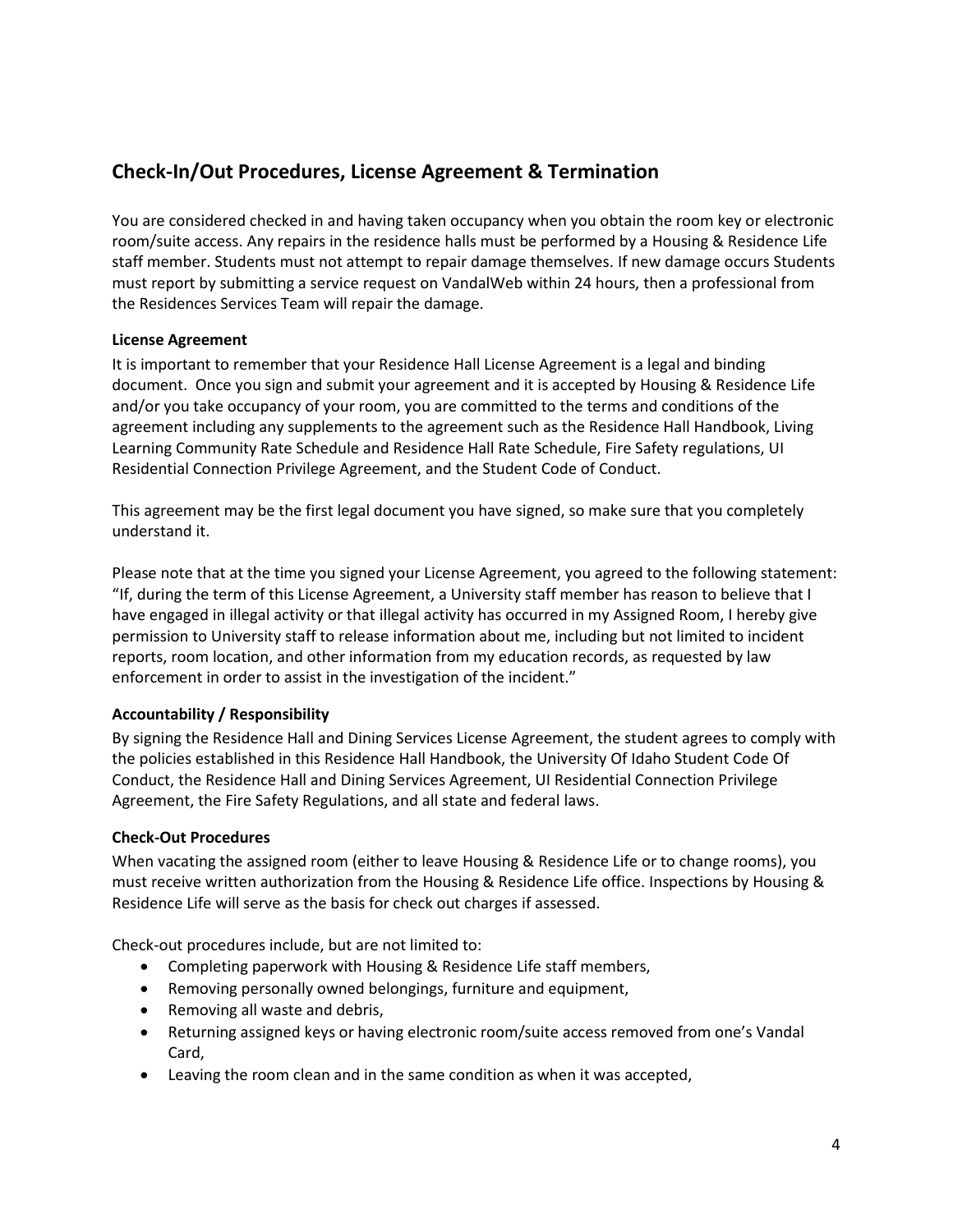# **Check-In/Out Procedures, License Agreement & Termination**

You are considered checked in and having taken occupancy when you obtain the room key or electronic room/suite access. Any repairs in the residence halls must be performed by a Housing & Residence Life staff member. Students must not attempt to repair damage themselves. If new damage occurs Students must report by submitting a service request on VandalWeb within 24 hours, then a professional from the Residences Services Team will repair the damage.

# **License Agreement**

It is important to remember that your Residence Hall License Agreement is a legal and binding document. Once you sign and submit your agreement and it is accepted by Housing & Residence Life and/or you take occupancy of your room, you are committed to the terms and conditions of the agreement including any supplements to the agreement such as the Residence Hall Handbook, Living Learning Community Rate Schedule and Residence Hall Rate Schedule, Fire Safety regulations, UI Residential Connection Privilege Agreement, and the Student Code of Conduct.

This agreement may be the first legal document you have signed, so make sure that you completely understand it.

Please note that at the time you signed your License Agreement, you agreed to the following statement: "If, during the term of this License Agreement, a University staff member has reason to believe that I have engaged in illegal activity or that illegal activity has occurred in my Assigned Room, I hereby give permission to University staff to release information about me, including but not limited to incident reports, room location, and other information from my education records, as requested by law enforcement in order to assist in the investigation of the incident."

# **Accountability / Responsibility**

By signing the Residence Hall and Dining Services License Agreement, the student agrees to comply with the policies established in this Residence Hall Handbook, the University Of Idaho Student Code Of Conduct, the Residence Hall and Dining Services Agreement, UI Residential Connection Privilege Agreement, the Fire Safety Regulations, and all state and federal laws.

# **Check-Out Procedures**

When vacating the assigned room (either to leave Housing & Residence Life or to change rooms), you must receive written authorization from the Housing & Residence Life office. Inspections by Housing & Residence Life will serve as the basis for check out charges if assessed.

Check-out procedures include, but are not limited to:

- Completing paperwork with Housing & Residence Life staff members,
- Removing personally owned belongings, furniture and equipment,
- Removing all waste and debris,
- Returning assigned keys or having electronic room/suite access removed from one's Vandal Card,
- Leaving the room clean and in the same condition as when it was accepted,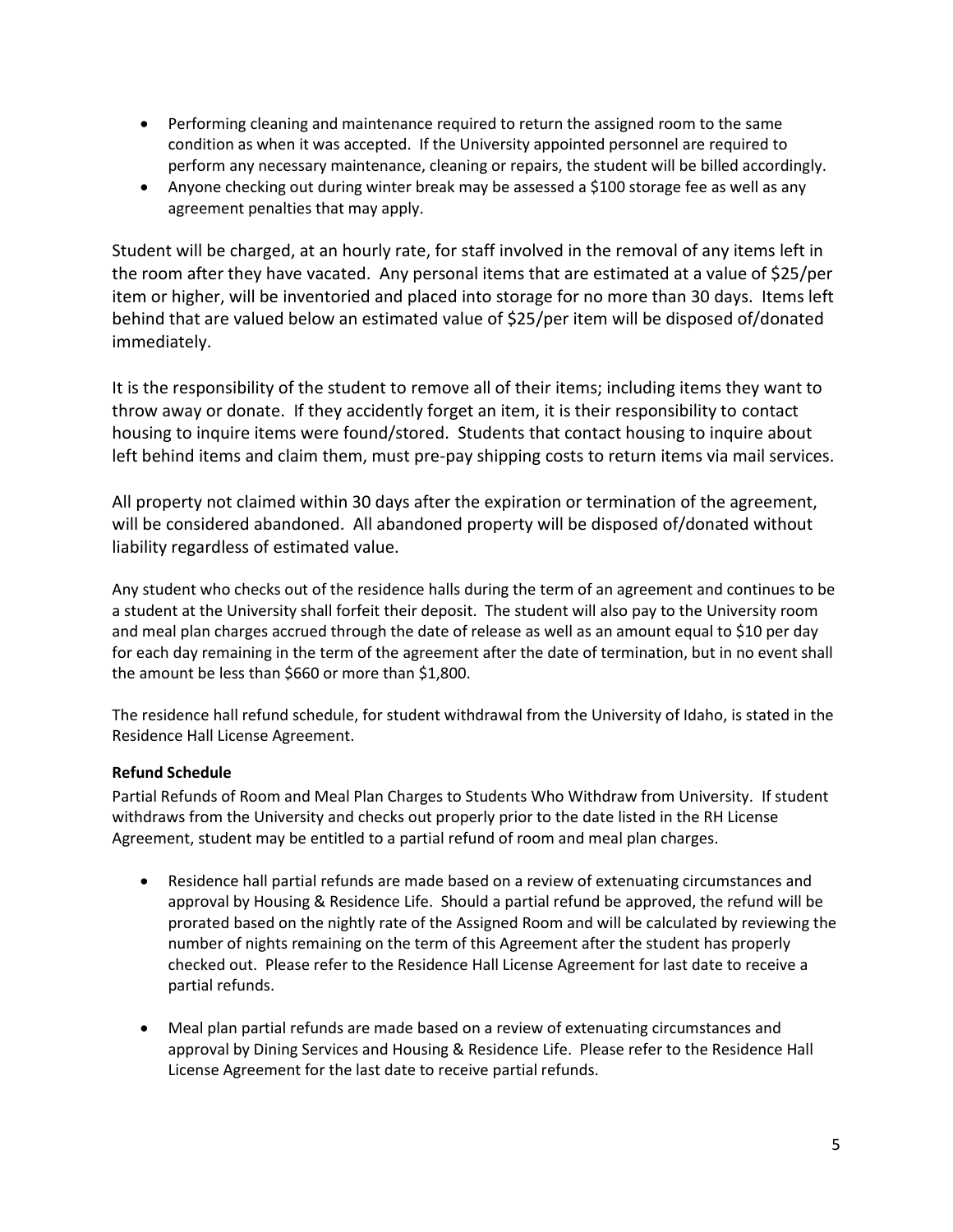- Performing cleaning and maintenance required to return the assigned room to the same condition as when it was accepted. If the University appointed personnel are required to perform any necessary maintenance, cleaning or repairs, the student will be billed accordingly.
- Anyone checking out during winter break may be assessed a \$100 storage fee as well as any agreement penalties that may apply.

Student will be charged, at an hourly rate, for staff involved in the removal of any items left in the room after they have vacated. Any personal items that are estimated at a value of \$25/per item or higher, will be inventoried and placed into storage for no more than 30 days. Items left behind that are valued below an estimated value of \$25/per item will be disposed of/donated immediately.

It is the responsibility of the student to remove all of their items; including items they want to throw away or donate. If they accidently forget an item, it is their responsibility to contact housing to inquire items were found/stored. Students that contact housing to inquire about left behind items and claim them, must pre-pay shipping costs to return items via mail services.

All property not claimed within 30 days after the expiration or termination of the agreement, will be considered abandoned. All abandoned property will be disposed of/donated without liability regardless of estimated value.

Any student who checks out of the residence halls during the term of an agreement and continues to be a student at the University shall forfeit their deposit. The student will also pay to the University room and meal plan charges accrued through the date of release as well as an amount equal to \$10 per day for each day remaining in the term of the agreement after the date of termination, but in no event shall the amount be less than \$660 or more than \$1,800.

The residence hall refund schedule, for student withdrawal from the University of Idaho, is stated in the Residence Hall License Agreement.

# **Refund Schedule**

Partial Refunds of Room and Meal Plan Charges to Students Who Withdraw from University. If student withdraws from the University and checks out properly prior to the date listed in the RH License Agreement, student may be entitled to a partial refund of room and meal plan charges.

- Residence hall partial refunds are made based on a review of extenuating circumstances and approval by Housing & Residence Life. Should a partial refund be approved, the refund will be prorated based on the nightly rate of the Assigned Room and will be calculated by reviewing the number of nights remaining on the term of this Agreement after the student has properly checked out. Please refer to the Residence Hall License Agreement for last date to receive a partial refunds.
- Meal plan partial refunds are made based on a review of extenuating circumstances and approval by Dining Services and Housing & Residence Life. Please refer to the Residence Hall License Agreement for the last date to receive partial refunds.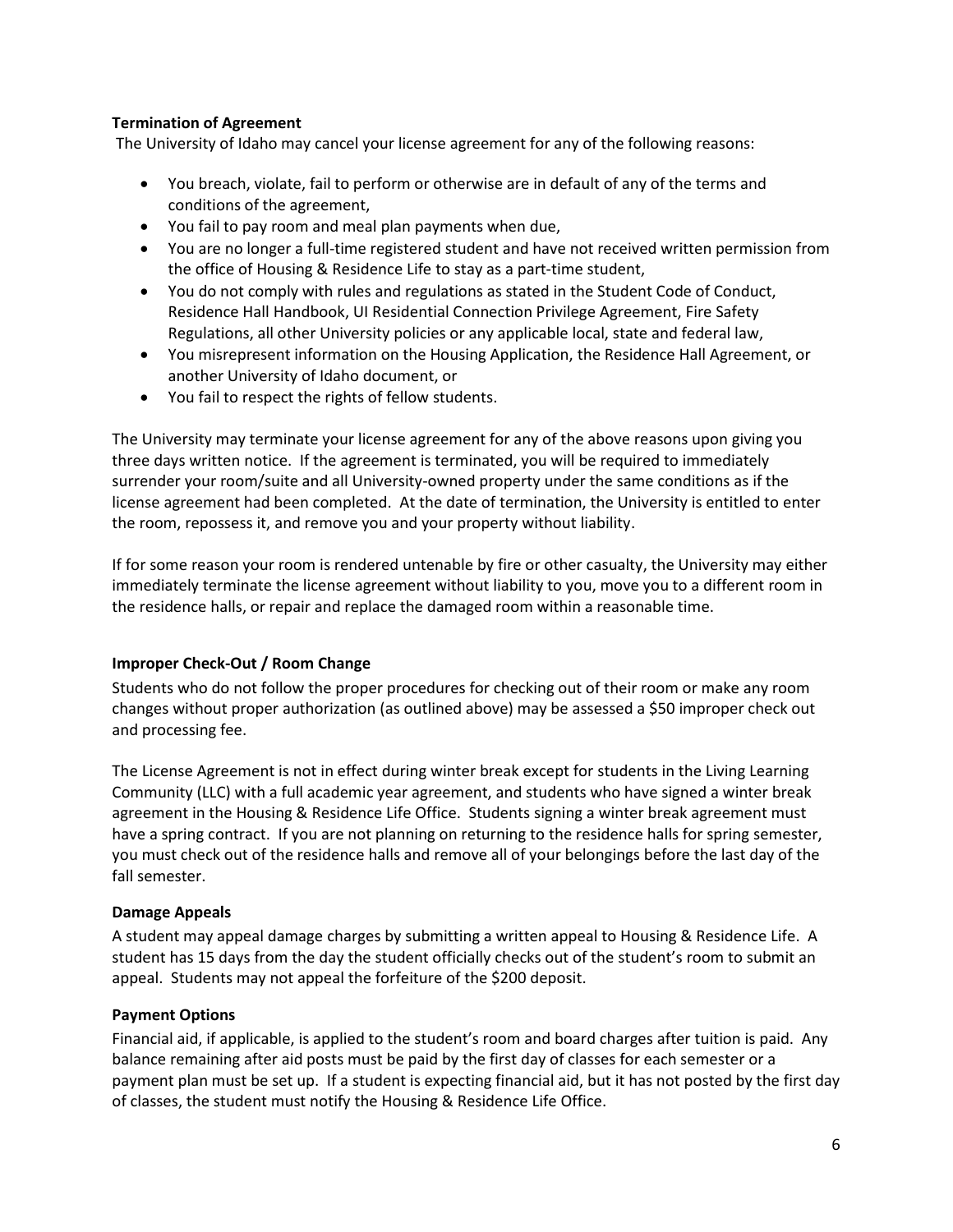# **Termination of Agreement**

The University of Idaho may cancel your license agreement for any of the following reasons:

- You breach, violate, fail to perform or otherwise are in default of any of the terms and conditions of the agreement,
- You fail to pay room and meal plan payments when due,
- You are no longer a full-time registered student and have not received written permission from the office of Housing & Residence Life to stay as a part-time student,
- You do not comply with rules and regulations as stated in the Student Code of Conduct, Residence Hall Handbook, UI Residential Connection Privilege Agreement, Fire Safety Regulations, all other University policies or any applicable local, state and federal law,
- You misrepresent information on the Housing Application, the Residence Hall Agreement, or another University of Idaho document, or
- You fail to respect the rights of fellow students.

The University may terminate your license agreement for any of the above reasons upon giving you three days written notice. If the agreement is terminated, you will be required to immediately surrender your room/suite and all University-owned property under the same conditions as if the license agreement had been completed. At the date of termination, the University is entitled to enter the room, repossess it, and remove you and your property without liability.

If for some reason your room is rendered untenable by fire or other casualty, the University may either immediately terminate the license agreement without liability to you, move you to a different room in the residence halls, or repair and replace the damaged room within a reasonable time.

#### **Improper Check-Out / Room Change**

Students who do not follow the proper procedures for checking out of their room or make any room changes without proper authorization (as outlined above) may be assessed a \$50 improper check out and processing fee.

The License Agreement is not in effect during winter break except for students in the Living Learning Community (LLC) with a full academic year agreement, and students who have signed a winter break agreement in the Housing & Residence Life Office. Students signing a winter break agreement must have a spring contract. If you are not planning on returning to the residence halls for spring semester, you must check out of the residence halls and remove all of your belongings before the last day of the fall semester.

#### **Damage Appeals**

A student may appeal damage charges by submitting a written appeal to Housing & Residence Life. A student has 15 days from the day the student officially checks out of the student's room to submit an appeal. Students may not appeal the forfeiture of the \$200 deposit.

#### **Payment Options**

Financial aid, if applicable, is applied to the student's room and board charges after tuition is paid. Any balance remaining after aid posts must be paid by the first day of classes for each semester or a payment plan must be set up. If a student is expecting financial aid, but it has not posted by the first day of classes, the student must notify the Housing & Residence Life Office.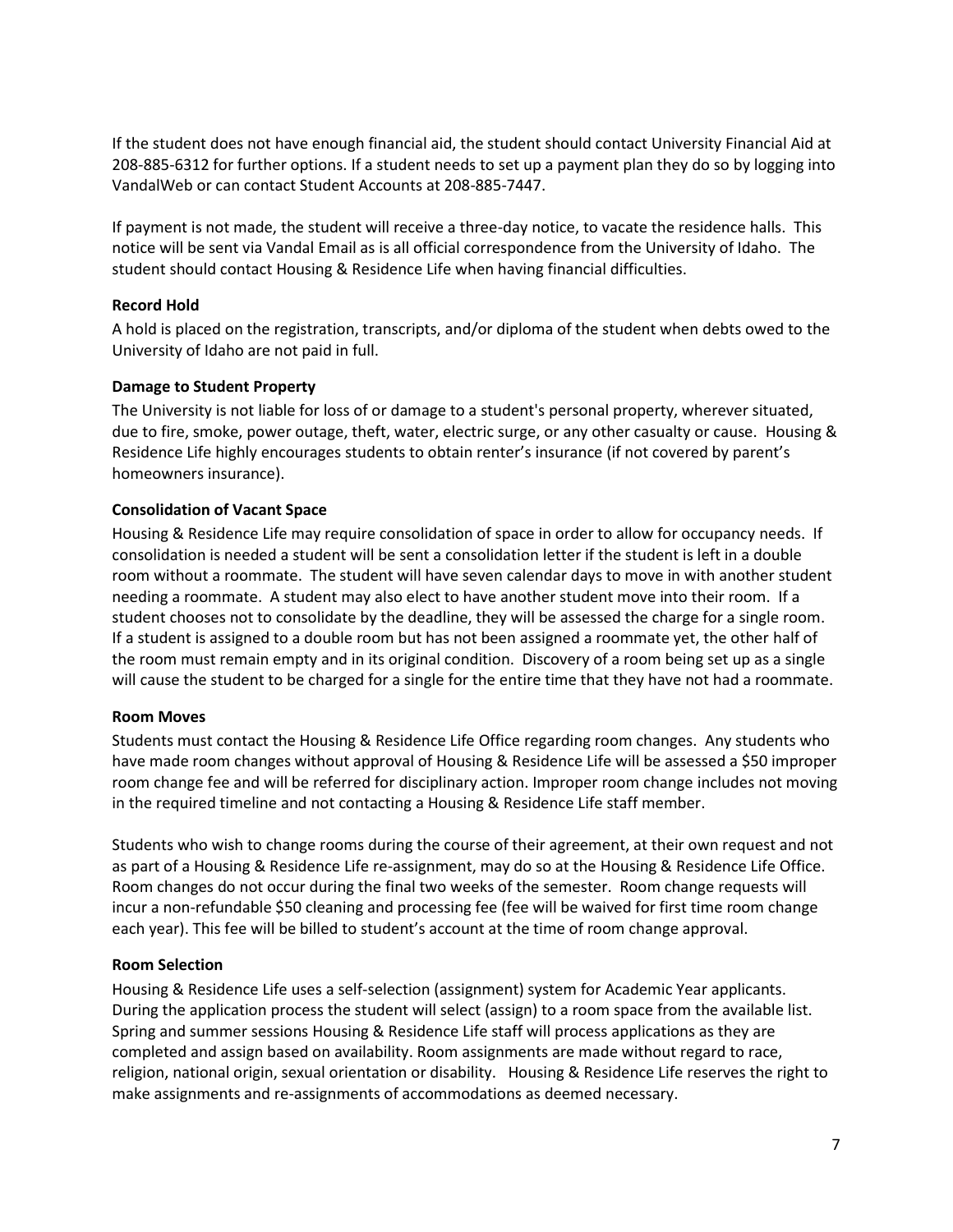If the student does not have enough financial aid, the student should contact University Financial Aid at 208-885-6312 for further options. If a student needs to set up a payment plan they do so by logging into VandalWeb or can contact Student Accounts at 208-885-7447.

If payment is not made, the student will receive a three-day notice, to vacate the residence halls. This notice will be sent via Vandal Email as is all official correspondence from the University of Idaho. The student should contact Housing & Residence Life when having financial difficulties.

#### **Record Hold**

A hold is placed on the registration, transcripts, and/or diploma of the student when debts owed to the University of Idaho are not paid in full.

#### **Damage to Student Property**

The University is not liable for loss of or damage to a student's personal property, wherever situated, due to fire, smoke, power outage, theft, water, electric surge, or any other casualty or cause. Housing & Residence Life highly encourages students to obtain renter's insurance (if not covered by parent's homeowners insurance).

#### **Consolidation of Vacant Space**

Housing & Residence Life may require consolidation of space in order to allow for occupancy needs. If consolidation is needed a student will be sent a consolidation letter if the student is left in a double room without a roommate. The student will have seven calendar days to move in with another student needing a roommate. A student may also elect to have another student move into their room. If a student chooses not to consolidate by the deadline, they will be assessed the charge for a single room. If a student is assigned to a double room but has not been assigned a roommate yet, the other half of the room must remain empty and in its original condition. Discovery of a room being set up as a single will cause the student to be charged for a single for the entire time that they have not had a roommate.

#### **Room Moves**

Students must contact the Housing & Residence Life Office regarding room changes. Any students who have made room changes without approval of Housing & Residence Life will be assessed a \$50 improper room change fee and will be referred for disciplinary action. Improper room change includes not moving in the required timeline and not contacting a Housing & Residence Life staff member.

Students who wish to change rooms during the course of their agreement, at their own request and not as part of a Housing & Residence Life re-assignment, may do so at the Housing & Residence Life Office. Room changes do not occur during the final two weeks of the semester. Room change requests will incur a non-refundable \$50 cleaning and processing fee (fee will be waived for first time room change each year). This fee will be billed to student's account at the time of room change approval.

#### **Room Selection**

Housing & Residence Life uses a self-selection (assignment) system for Academic Year applicants. During the application process the student will select (assign) to a room space from the available list. Spring and summer sessions Housing & Residence Life staff will process applications as they are completed and assign based on availability. Room assignments are made without regard to race, religion, national origin, sexual orientation or disability. Housing & Residence Life reserves the right to make assignments and re-assignments of accommodations as deemed necessary.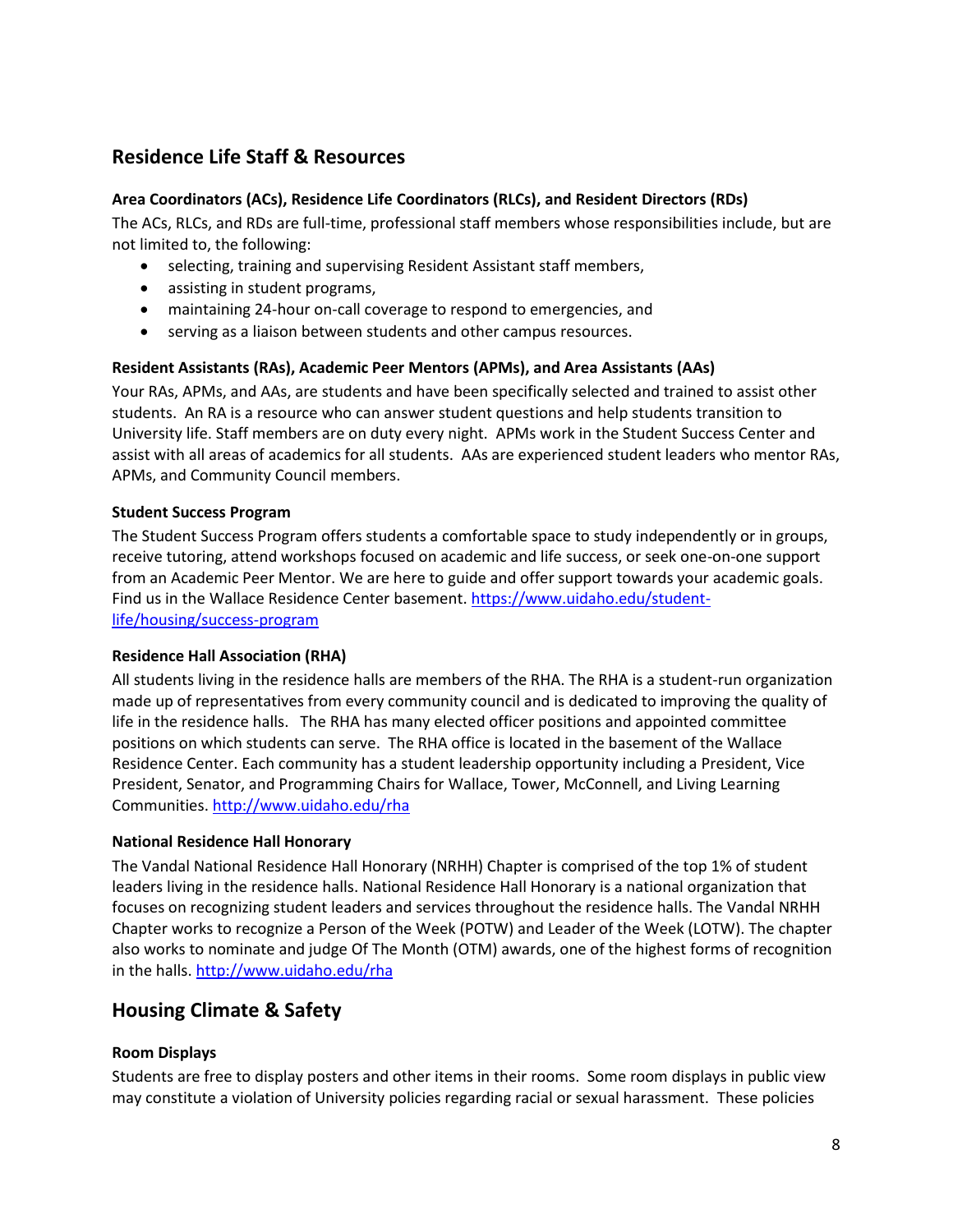# **Residence Life Staff & Resources**

# **Area Coordinators (ACs), Residence Life Coordinators (RLCs), and Resident Directors (RDs)**

The ACs, RLCs, and RDs are full-time, professional staff members whose responsibilities include, but are not limited to, the following:

- selecting, training and supervising Resident Assistant staff members,
- assisting in student programs,
- maintaining 24-hour on-call coverage to respond to emergencies, and
- serving as a liaison between students and other campus resources.

# **Resident Assistants (RAs), Academic Peer Mentors (APMs), and Area Assistants (AAs)**

Your RAs, APMs, and AAs, are students and have been specifically selected and trained to assist other students. An RA is a resource who can answer student questions and help students transition to University life. Staff members are on duty every night. APMs work in the Student Success Center and assist with all areas of academics for all students. AAs are experienced student leaders who mentor RAs, APMs, and Community Council members.

#### **Student Success Program**

The Student Success Program offers students a comfortable space to study independently or in groups, receive tutoring, attend workshops focused on academic and life success, or seek one-on-one support from an Academic Peer Mentor. We are here to guide and offer support towards your academic goals. Find us in the Wallace Residence Center basement[. https://www.uidaho.edu/student](https://www.uidaho.edu/student-life/housing/success-program)[life/housing/success-program](https://www.uidaho.edu/student-life/housing/success-program)

#### **Residence Hall Association (RHA)**

All students living in the residence halls are members of the RHA. The RHA is a student-run organization made up of representatives from every community council and is dedicated to improving the quality of life in the residence halls. The RHA has many elected officer positions and appointed committee positions on which students can serve. The RHA office is located in the basement of the Wallace Residence Center. Each community has a student leadership opportunity including a President, Vice President, Senator, and Programming Chairs for Wallace, Tower, McConnell, and Living Learning Communities[. http://www.uidaho.edu/rha](http://www.uidaho.edu/rha)

#### **National Residence Hall Honorary**

The Vandal National Residence Hall Honorary (NRHH) Chapter is comprised of the top 1% of student leaders living in the residence halls. National Residence Hall Honorary is a national organization that focuses on recognizing student leaders and services throughout the residence halls. The Vandal NRHH Chapter works to recognize a Person of the Week (POTW) and Leader of the Week (LOTW). The chapter also works to nominate and judge Of The Month (OTM) awards, one of the highest forms of recognition in the halls. <http://www.uidaho.edu/rha>

# **Housing Climate & Safety**

#### **Room Displays**

Students are free to display posters and other items in their rooms. Some room displays in public view may constitute a violation of University policies regarding racial or sexual harassment. These policies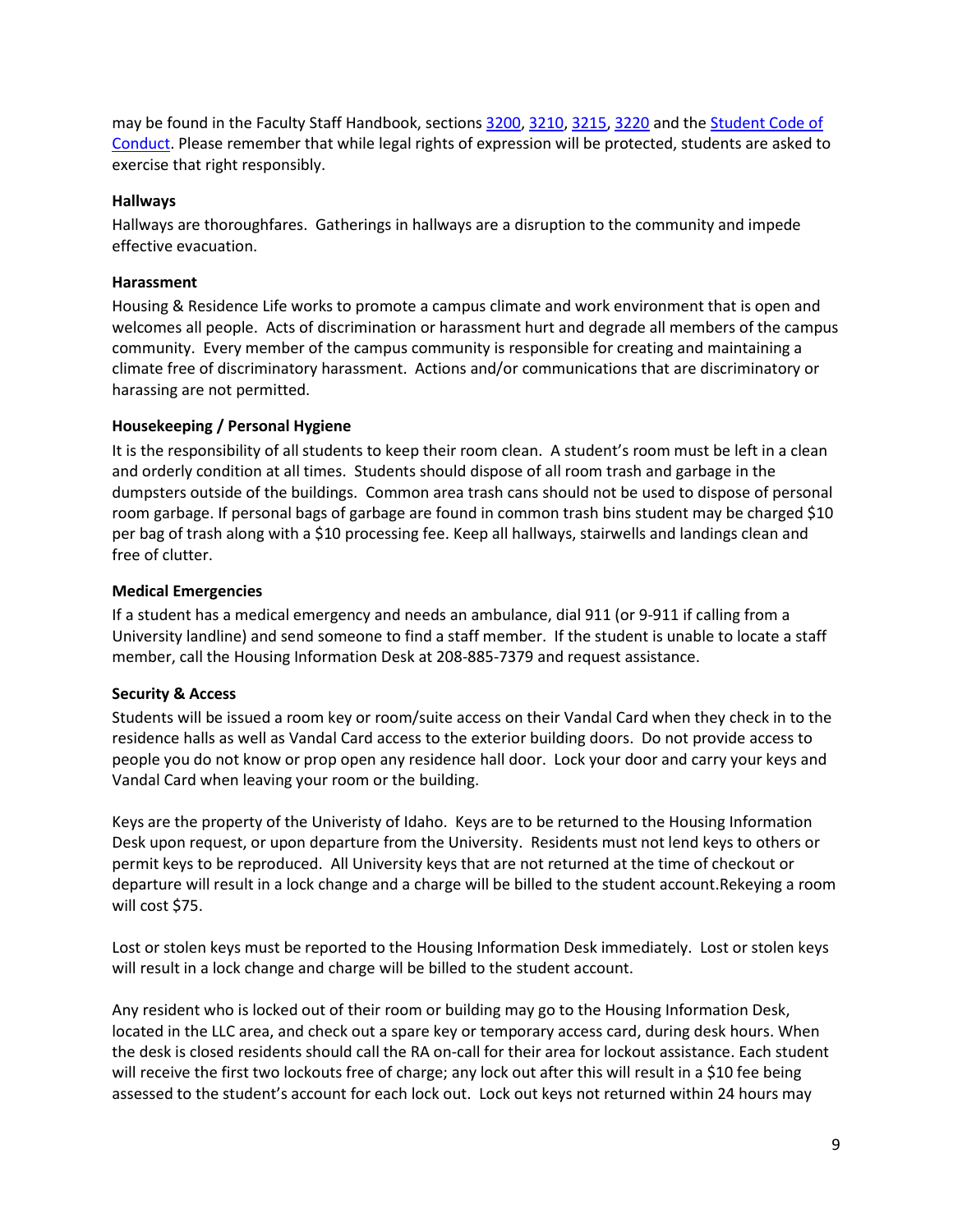may be found in the Faculty Staff Handbook, sections [3200,](http://www.webpages.uidaho.edu/fsh/3200.html) [3210,](http://www.webpages.uidaho.edu/fsh/3210.html) [3215,](http://www.webpages.uidaho.edu/fsh/3215.html) [3220](http://www.webpages.uidaho.edu/fsh/3220.html) and th[e Student Code of](http://www.webpages.uidaho.edu/fsh/2300.html)  [Conduct.](http://www.webpages.uidaho.edu/fsh/2300.html) Please remember that while legal rights of expression will be protected, students are asked to exercise that right responsibly.

#### **Hallways**

Hallways are thoroughfares. Gatherings in hallways are a disruption to the community and impede effective evacuation.

#### **Harassment**

Housing & Residence Life works to promote a campus climate and work environment that is open and welcomes all people. Acts of discrimination or harassment hurt and degrade all members of the campus community. Every member of the campus community is responsible for creating and maintaining a climate free of discriminatory harassment. Actions and/or communications that are discriminatory or harassing are not permitted.

#### **Housekeeping / Personal Hygiene**

It is the responsibility of all students to keep their room clean. A student's room must be left in a clean and orderly condition at all times. Students should dispose of all room trash and garbage in the dumpsters outside of the buildings. Common area trash cans should not be used to dispose of personal room garbage. If personal bags of garbage are found in common trash bins student may be charged \$10 per bag of trash along with a \$10 processing fee. Keep all hallways, stairwells and landings clean and free of clutter.

#### **Medical Emergencies**

If a student has a medical emergency and needs an ambulance, dial 911 (or 9-911 if calling from a University landline) and send someone to find a staff member. If the student is unable to locate a staff member, call the Housing Information Desk at 208-885-7379 and request assistance.

#### **Security & Access**

Students will be issued a room key or room/suite access on their Vandal Card when they check in to the residence halls as well as Vandal Card access to the exterior building doors. Do not provide access to people you do not know or prop open any residence hall door. Lock your door and carry your keys and Vandal Card when leaving your room or the building.

Keys are the property of the Univeristy of Idaho. Keys are to be returned to the Housing Information Desk upon request, or upon departure from the University. Residents must not lend keys to others or permit keys to be reproduced. All University keys that are not returned at the time of checkout or departure will result in a lock change and a charge will be billed to the student account.Rekeying a room will cost \$75.

Lost or stolen keys must be reported to the Housing Information Desk immediately. Lost or stolen keys will result in a lock change and charge will be billed to the student account.

Any resident who is locked out of their room or building may go to the Housing Information Desk, located in the LLC area, and check out a spare key or temporary access card, during desk hours. When the desk is closed residents should call the RA on-call for their area for lockout assistance. Each student will receive the first two lockouts free of charge; any lock out after this will result in a \$10 fee being assessed to the student's account for each lock out. Lock out keys not returned within 24 hours may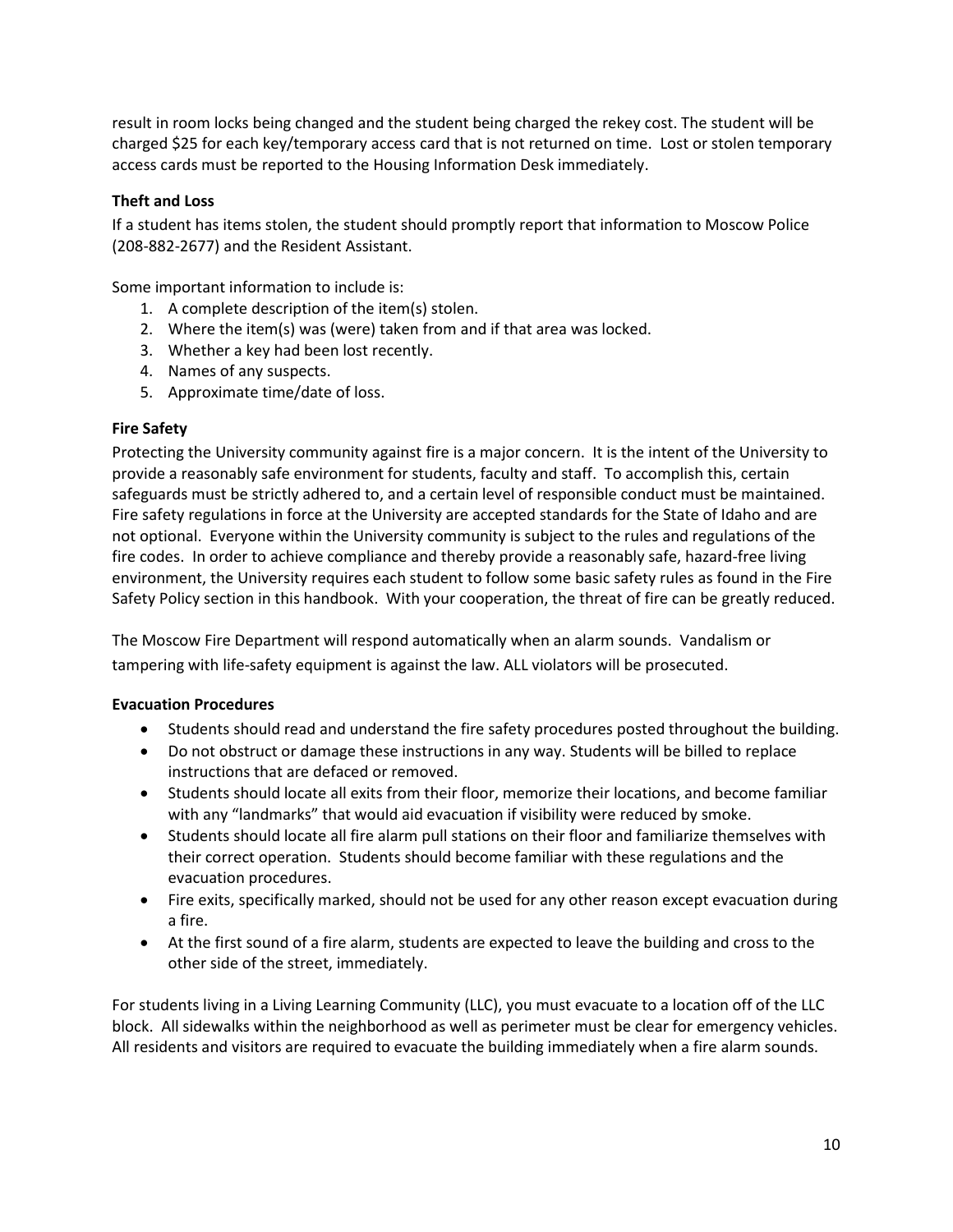result in room locks being changed and the student being charged the rekey cost. The student will be charged \$25 for each key/temporary access card that is not returned on time. Lost or stolen temporary access cards must be reported to the Housing Information Desk immediately.

# **Theft and Loss**

If a student has items stolen, the student should promptly report that information to Moscow Police (208-882-2677) and the Resident Assistant.

Some important information to include is:

- 1. A complete description of the item(s) stolen.
- 2. Where the item(s) was (were) taken from and if that area was locked.
- 3. Whether a key had been lost recently.
- 4. Names of any suspects.
- 5. Approximate time/date of loss.

#### **Fire Safety**

Protecting the University community against fire is a major concern. It is the intent of the University to provide a reasonably safe environment for students, faculty and staff. To accomplish this, certain safeguards must be strictly adhered to, and a certain level of responsible conduct must be maintained. Fire safety regulations in force at the University are accepted standards for the State of Idaho and are not optional. Everyone within the University community is subject to the rules and regulations of the fire codes. In order to achieve compliance and thereby provide a reasonably safe, hazard-free living environment, the University requires each student to follow some basic safety rules as found in the Fire Safety Policy section in this handbook. With your cooperation, the threat of fire can be greatly reduced.

The Moscow Fire Department will respond automatically when an alarm sounds. Vandalism or tampering with life-safety equipment is against the law. ALL violators will be prosecuted.

#### **Evacuation Procedures**

- Students should read and understand the fire safety procedures posted throughout the building.
- Do not obstruct or damage these instructions in any way. Students will be billed to replace instructions that are defaced or removed.
- Students should locate all exits from their floor, memorize their locations, and become familiar with any "landmarks" that would aid evacuation if visibility were reduced by smoke.
- Students should locate all fire alarm pull stations on their floor and familiarize themselves with their correct operation. Students should become familiar with these regulations and the evacuation procedures.
- Fire exits, specifically marked, should not be used for any other reason except evacuation during a fire.
- At the first sound of a fire alarm, students are expected to leave the building and cross to the other side of the street, immediately.

For students living in a Living Learning Community (LLC), you must evacuate to a location off of the LLC block. All sidewalks within the neighborhood as well as perimeter must be clear for emergency vehicles. All residents and visitors are required to evacuate the building immediately when a fire alarm sounds.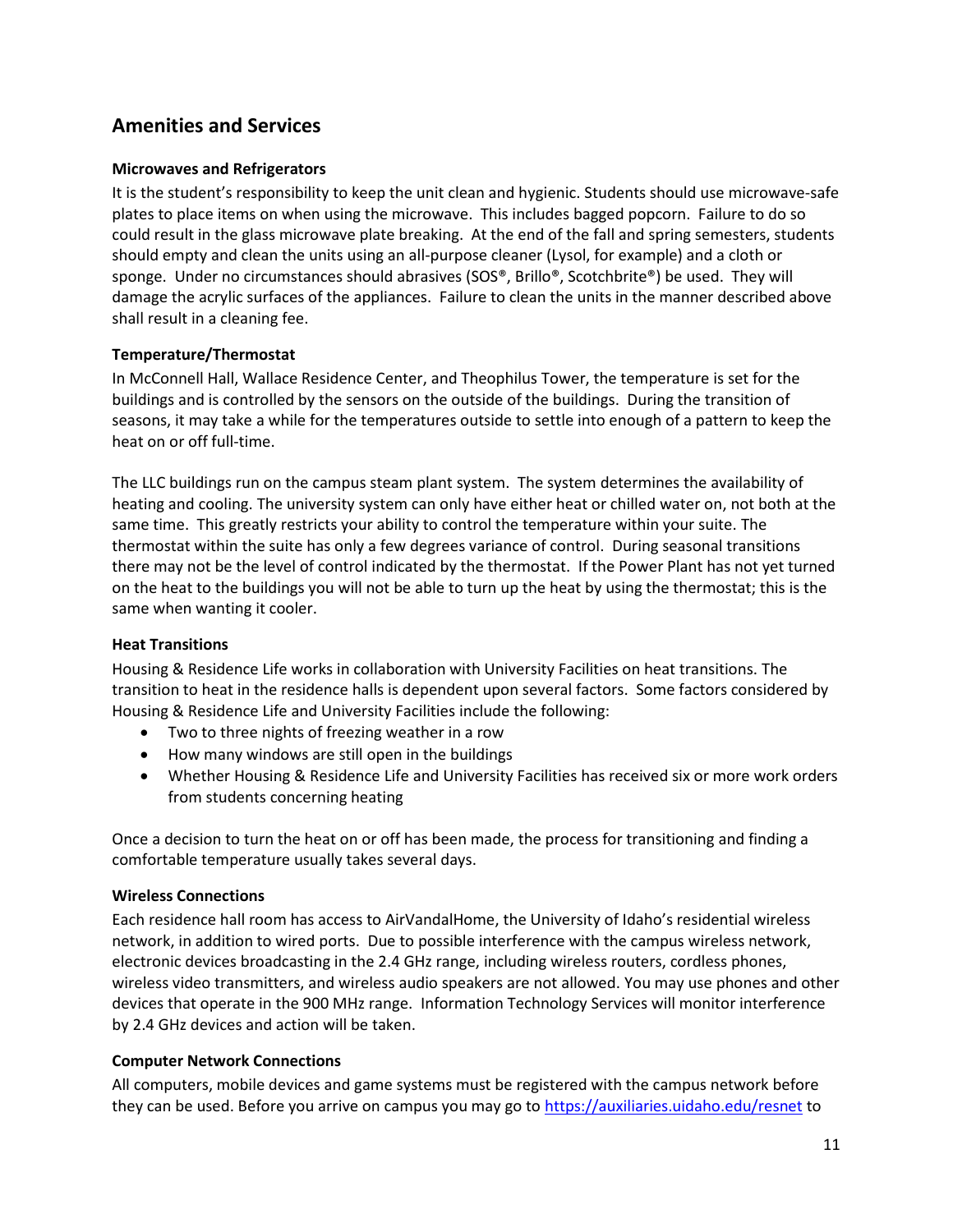# **Amenities and Services**

# **Microwaves and Refrigerators**

It is the student's responsibility to keep the unit clean and hygienic. Students should use microwave-safe plates to place items on when using the microwave. This includes bagged popcorn. Failure to do so could result in the glass microwave plate breaking. At the end of the fall and spring semesters, students should empty and clean the units using an all-purpose cleaner (Lysol, for example) and a cloth or sponge. Under no circumstances should abrasives (SOS®, Brillo®, Scotchbrite®) be used. They will damage the acrylic surfaces of the appliances. Failure to clean the units in the manner described above shall result in a cleaning fee.

# **Temperature/Thermostat**

In McConnell Hall, Wallace Residence Center, and Theophilus Tower, the temperature is set for the buildings and is controlled by the sensors on the outside of the buildings. During the transition of seasons, it may take a while for the temperatures outside to settle into enough of a pattern to keep the heat on or off full-time.

The LLC buildings run on the campus steam plant system. The system determines the availability of heating and cooling. The university system can only have either heat or chilled water on, not both at the same time. This greatly restricts your ability to control the temperature within your suite. The thermostat within the suite has only a few degrees variance of control. During seasonal transitions there may not be the level of control indicated by the thermostat. If the Power Plant has not yet turned on the heat to the buildings you will not be able to turn up the heat by using the thermostat; this is the same when wanting it cooler.

#### **Heat Transitions**

Housing & Residence Life works in collaboration with University Facilities on heat transitions. The transition to heat in the residence halls is dependent upon several factors. Some factors considered by Housing & Residence Life and University Facilities include the following:

- Two to three nights of freezing weather in a row
- How many windows are still open in the buildings
- Whether Housing & Residence Life and University Facilities has received six or more work orders from students concerning heating

Once a decision to turn the heat on or off has been made, the process for transitioning and finding a comfortable temperature usually takes several days.

#### **Wireless Connections**

Each residence hall room has access to AirVandalHome, the University of Idaho's residential wireless network, in addition to wired ports. Due to possible interference with the campus wireless network, electronic devices broadcasting in the 2.4 GHz range, including wireless routers, cordless phones, wireless video transmitters, and wireless audio speakers are not allowed. You may use phones and other devices that operate in the 900 MHz range. Information Technology Services will monitor interference by 2.4 GHz devices and action will be taken.

#### **Computer Network Connections**

All computers, mobile devices and game systems must be registered with the campus network before they can be used. Before you arrive on campus you may go to<https://auxiliaries.uidaho.edu/resnet> to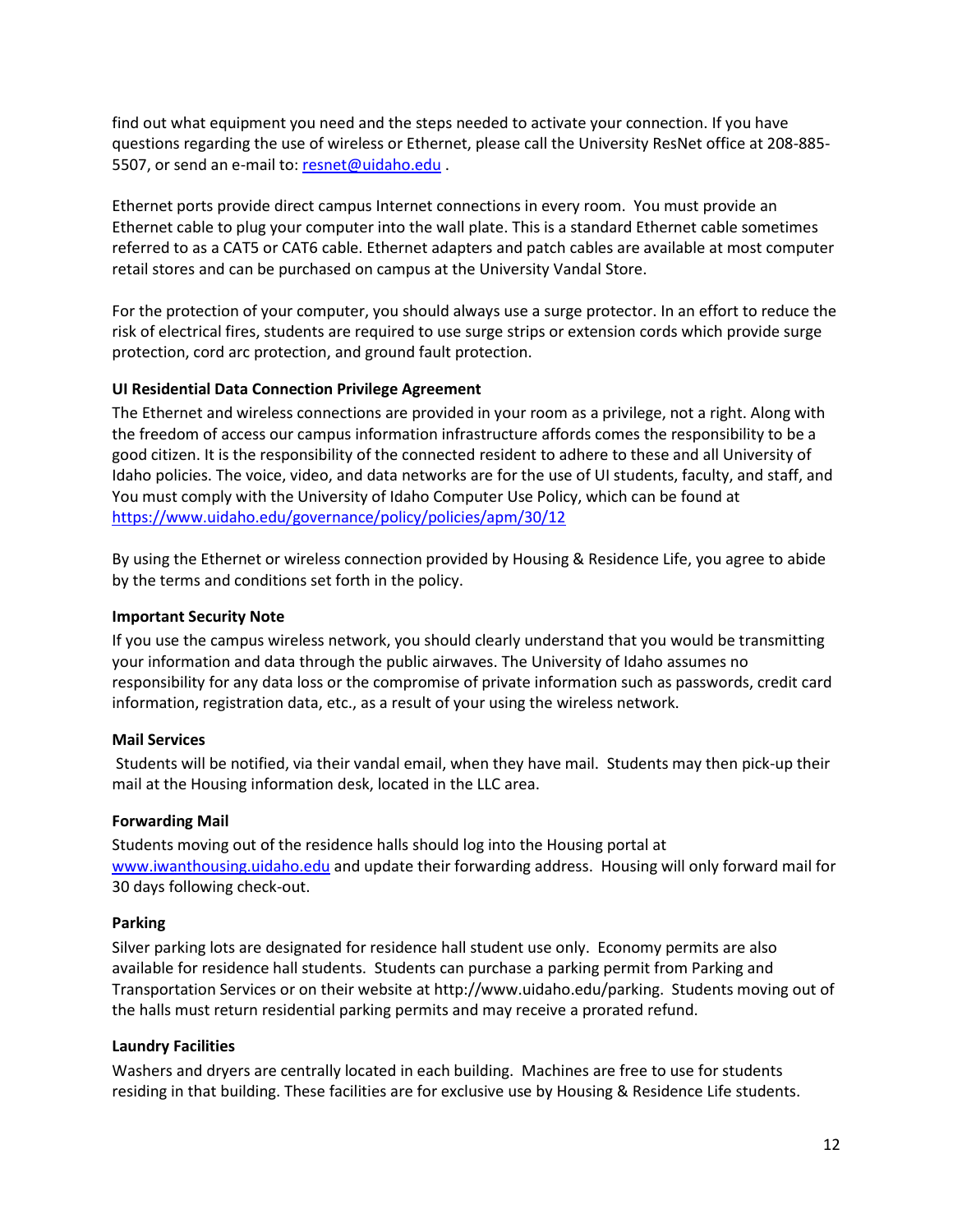find out what equipment you need and the steps needed to activate your connection. If you have questions regarding the use of wireless or Ethernet, please call the University ResNet office at 208-885- 5507, or send an e-mail to: [resnet@uidaho.edu](mailto:resnet@uidaho.edu) .

Ethernet ports provide direct campus Internet connections in every room. You must provide an Ethernet cable to plug your computer into the wall plate. This is a standard Ethernet cable sometimes referred to as a CAT5 or CAT6 cable. Ethernet adapters and patch cables are available at most computer retail stores and can be purchased on campus at the University Vandal Store.

For the protection of your computer, you should always use a surge protector. In an effort to reduce the risk of electrical fires, students are required to use surge strips or extension cords which provide surge protection, cord arc protection, and ground fault protection.

#### **UI Residential Data Connection Privilege Agreement**

The Ethernet and wireless connections are provided in your room as a privilege, not a right. Along with the freedom of access our campus information infrastructure affords comes the responsibility to be a good citizen. It is the responsibility of the connected resident to adhere to these and all University of Idaho policies. The voice, video, and data networks are for the use of UI students, faculty, and staff, and You must comply with the University of Idaho Computer Use Policy, which can be found at <https://www.uidaho.edu/governance/policy/policies/apm/30/12>

By using the Ethernet or wireless connection provided by Housing & Residence Life, you agree to abide by the terms and conditions set forth in the policy.

#### **Important Security Note**

If you use the campus wireless network, you should clearly understand that you would be transmitting your information and data through the public airwaves. The University of Idaho assumes no responsibility for any data loss or the compromise of private information such as passwords, credit card information, registration data, etc., as a result of your using the wireless network.

#### **Mail Services**

Students will be notified, via their vandal email, when they have mail. Students may then pick-up their mail at the Housing information desk, located in the LLC area.

#### **Forwarding Mail**

Students moving out of the residence halls should log into the Housing portal at [www.iwanthousing.uidaho.edu](http://www.iwanthousing.uidaho.edu/) and update their forwarding address. Housing will only forward mail for 30 days following check-out.

#### **Parking**

Silver parking lots are designated for residence hall student use only. Economy permits are also available for residence hall students. Students can purchase a parking permit from Parking and Transportation Services or on their website at http://www.uidaho.edu/parking. Students moving out of the halls must return residential parking permits and may receive a prorated refund.

#### **Laundry Facilities**

Washers and dryers are centrally located in each building. Machines are free to use for students residing in that building. These facilities are for exclusive use by Housing & Residence Life students.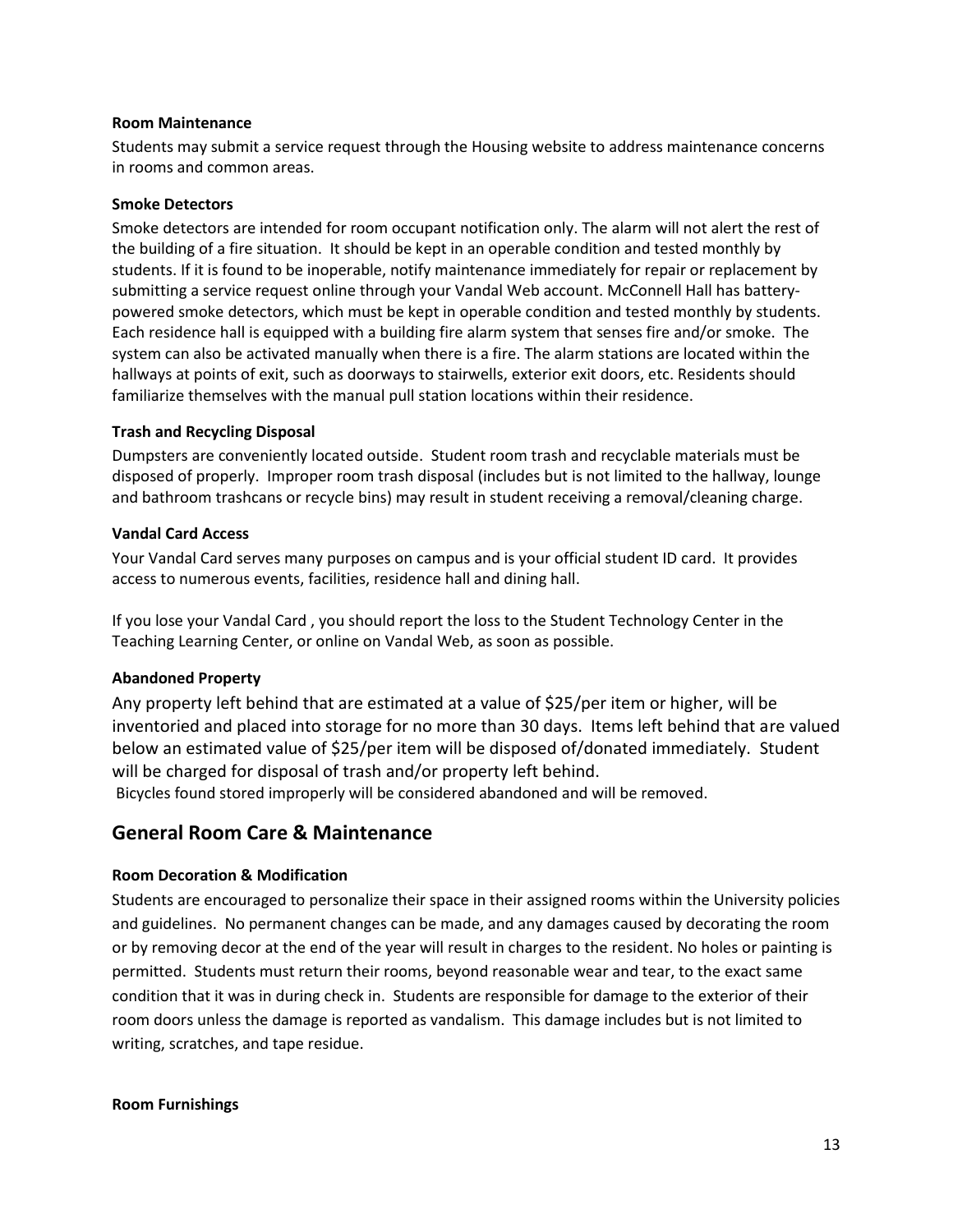#### **Room Maintenance**

Students may submit a service request through the Housing website to address maintenance concerns in rooms and common areas.

#### **Smoke Detectors**

Smoke detectors are intended for room occupant notification only. The alarm will not alert the rest of the building of a fire situation. It should be kept in an operable condition and tested monthly by students. If it is found to be inoperable, notify maintenance immediately for repair or replacement by submitting a service request online through your Vandal Web account. McConnell Hall has batterypowered smoke detectors, which must be kept in operable condition and tested monthly by students. Each residence hall is equipped with a building fire alarm system that senses fire and/or smoke. The system can also be activated manually when there is a fire. The alarm stations are located within the hallways at points of exit, such as doorways to stairwells, exterior exit doors, etc. Residents should familiarize themselves with the manual pull station locations within their residence.

#### **Trash and Recycling Disposal**

Dumpsters are conveniently located outside. Student room trash and recyclable materials must be disposed of properly. Improper room trash disposal (includes but is not limited to the hallway, lounge and bathroom trashcans or recycle bins) may result in student receiving a removal/cleaning charge.

#### **Vandal Card Access**

Your Vandal Card serves many purposes on campus and is your official student ID card. It provides access to numerous events, facilities, residence hall and dining hall.

If you lose your Vandal Card , you should report the loss to the Student Technology Center in the Teaching Learning Center, or online on Vandal Web, as soon as possible.

#### **Abandoned Property**

Any property left behind that are estimated at a value of \$25/per item or higher, will be inventoried and placed into storage for no more than 30 days. Items left behind that are valued below an estimated value of \$25/per item will be disposed of/donated immediately. Student will be charged for disposal of trash and/or property left behind.

Bicycles found stored improperly will be considered abandoned and will be removed.

# **General Room Care & Maintenance**

#### **Room Decoration & Modification**

Students are encouraged to personalize their space in their assigned rooms within the University policies and guidelines. No permanent changes can be made, and any damages caused by decorating the room or by removing decor at the end of the year will result in charges to the resident. No holes or painting is permitted. Students must return their rooms, beyond reasonable wear and tear, to the exact same condition that it was in during check in. Students are responsible for damage to the exterior of their room doors unless the damage is reported as vandalism. This damage includes but is not limited to writing, scratches, and tape residue.

#### **Room Furnishings**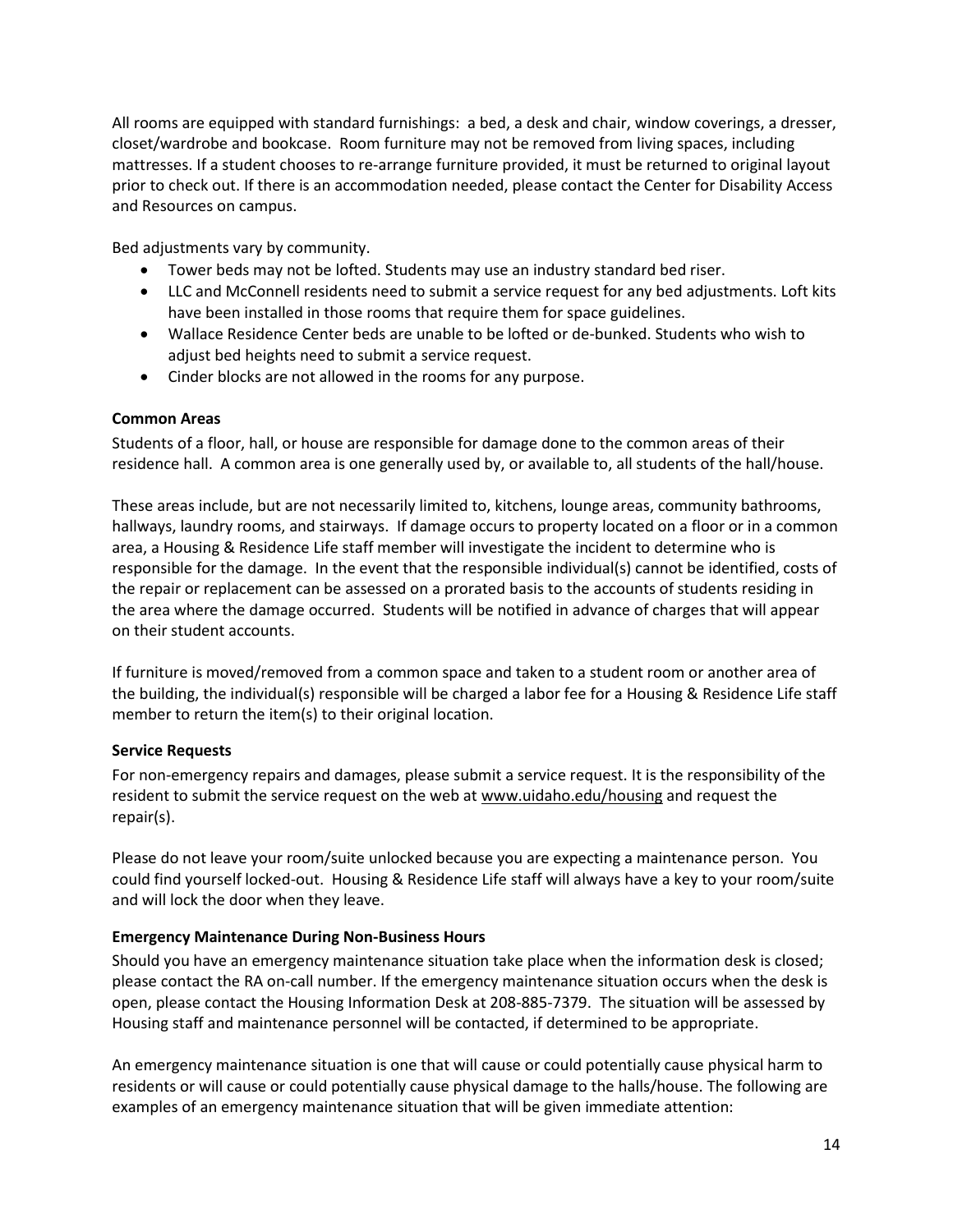All rooms are equipped with standard furnishings: a bed, a desk and chair, window coverings, a dresser, closet/wardrobe and bookcase. Room furniture may not be removed from living spaces, including mattresses. If a student chooses to re-arrange furniture provided, it must be returned to original layout prior to check out. If there is an accommodation needed, please contact the Center for Disability Access and Resources on campus.

Bed adjustments vary by community.

- Tower beds may not be lofted. Students may use an industry standard bed riser.
- LLC and McConnell residents need to submit a service request for any bed adjustments. Loft kits have been installed in those rooms that require them for space guidelines.
- Wallace Residence Center beds are unable to be lofted or de-bunked. Students who wish to adjust bed heights need to submit a service request.
- Cinder blocks are not allowed in the rooms for any purpose.

#### **Common Areas**

Students of a floor, hall, or house are responsible for damage done to the common areas of their residence hall. A common area is one generally used by, or available to, all students of the hall/house.

These areas include, but are not necessarily limited to, kitchens, lounge areas, community bathrooms, hallways, laundry rooms, and stairways. If damage occurs to property located on a floor or in a common area, a Housing & Residence Life staff member will investigate the incident to determine who is responsible for the damage. In the event that the responsible individual(s) cannot be identified, costs of the repair or replacement can be assessed on a prorated basis to the accounts of students residing in the area where the damage occurred. Students will be notified in advance of charges that will appear on their student accounts.

If furniture is moved/removed from a common space and taken to a student room or another area of the building, the individual(s) responsible will be charged a labor fee for a Housing & Residence Life staff member to return the item(s) to their original location.

#### **Service Requests**

For non-emergency repairs and damages, please submit a service request. It is the responsibility of the resident to submit the service request on the web at [www.uidaho.edu/housing](http://resnet.uidaho.edu/wo/) and request the repair(s).

Please do not leave your room/suite unlocked because you are expecting a maintenance person. You could find yourself locked-out. Housing & Residence Life staff will always have a key to your room/suite and will lock the door when they leave.

# **Emergency Maintenance During Non-Business Hours**

Should you have an emergency maintenance situation take place when the information desk is closed; please contact the RA on-call number. If the emergency maintenance situation occurs when the desk is open, please contact the Housing Information Desk at 208-885-7379. The situation will be assessed by Housing staff and maintenance personnel will be contacted, if determined to be appropriate.

An emergency maintenance situation is one that will cause or could potentially cause physical harm to residents or will cause or could potentially cause physical damage to the halls/house. The following are examples of an emergency maintenance situation that will be given immediate attention: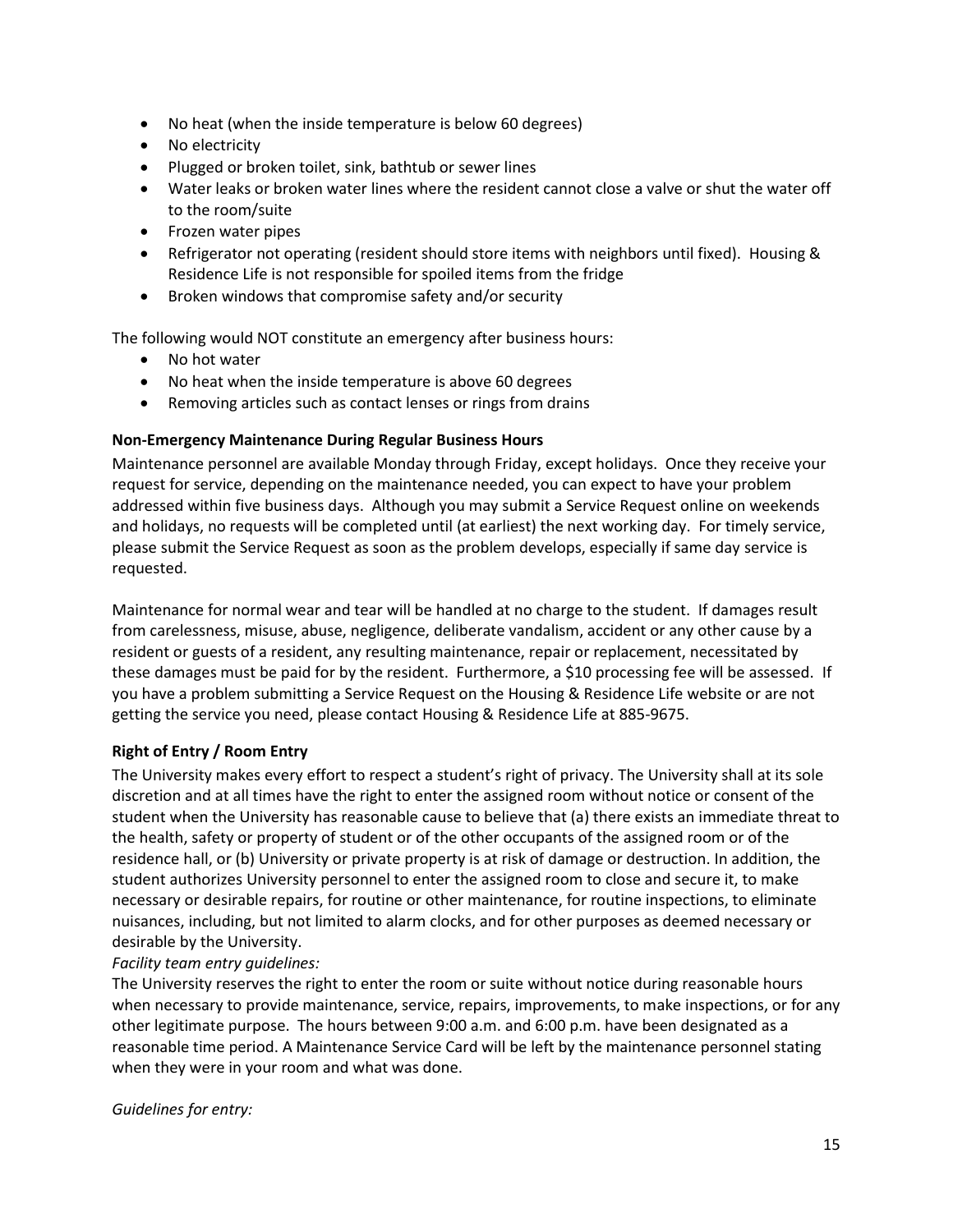- No heat (when the inside temperature is below 60 degrees)
- No electricity
- Plugged or broken toilet, sink, bathtub or sewer lines
- Water leaks or broken water lines where the resident cannot close a valve or shut the water off to the room/suite
- Frozen water pipes
- Refrigerator not operating (resident should store items with neighbors until fixed). Housing & Residence Life is not responsible for spoiled items from the fridge
- Broken windows that compromise safety and/or security

The following would NOT constitute an emergency after business hours:

- No hot water
- No heat when the inside temperature is above 60 degrees
- Removing articles such as contact lenses or rings from drains

#### **Non-Emergency Maintenance During Regular Business Hours**

Maintenance personnel are available Monday through Friday, except holidays. Once they receive your request for service, depending on the maintenance needed, you can expect to have your problem addressed within five business days. Although you may submit a Service Request online on weekends and holidays, no requests will be completed until (at earliest) the next working day. For timely service, please submit the Service Request as soon as the problem develops, especially if same day service is requested.

Maintenance for normal wear and tear will be handled at no charge to the student. If damages result from carelessness, misuse, abuse, negligence, deliberate vandalism, accident or any other cause by a resident or guests of a resident, any resulting maintenance, repair or replacement, necessitated by these damages must be paid for by the resident. Furthermore, a \$10 processing fee will be assessed. If you have a problem submitting a Service Request on the Housing & Residence Life website or are not getting the service you need, please contact Housing & Residence Life at 885-9675.

#### **Right of Entry / Room Entry**

The University makes every effort to respect a student's right of privacy. The University shall at its sole discretion and at all times have the right to enter the assigned room without notice or consent of the student when the University has reasonable cause to believe that (a) there exists an immediate threat to the health, safety or property of student or of the other occupants of the assigned room or of the residence hall, or (b) University or private property is at risk of damage or destruction. In addition, the student authorizes University personnel to enter the assigned room to close and secure it, to make necessary or desirable repairs, for routine or other maintenance, for routine inspections, to eliminate nuisances, including, but not limited to alarm clocks, and for other purposes as deemed necessary or desirable by the University.

#### *Facility team entry guidelines:*

The University reserves the right to enter the room or suite without notice during reasonable hours when necessary to provide maintenance, service, repairs, improvements, to make inspections, or for any other legitimate purpose. The hours between 9:00 a.m. and 6:00 p.m. have been designated as a reasonable time period. A Maintenance Service Card will be left by the maintenance personnel stating when they were in your room and what was done.

*Guidelines for entry:*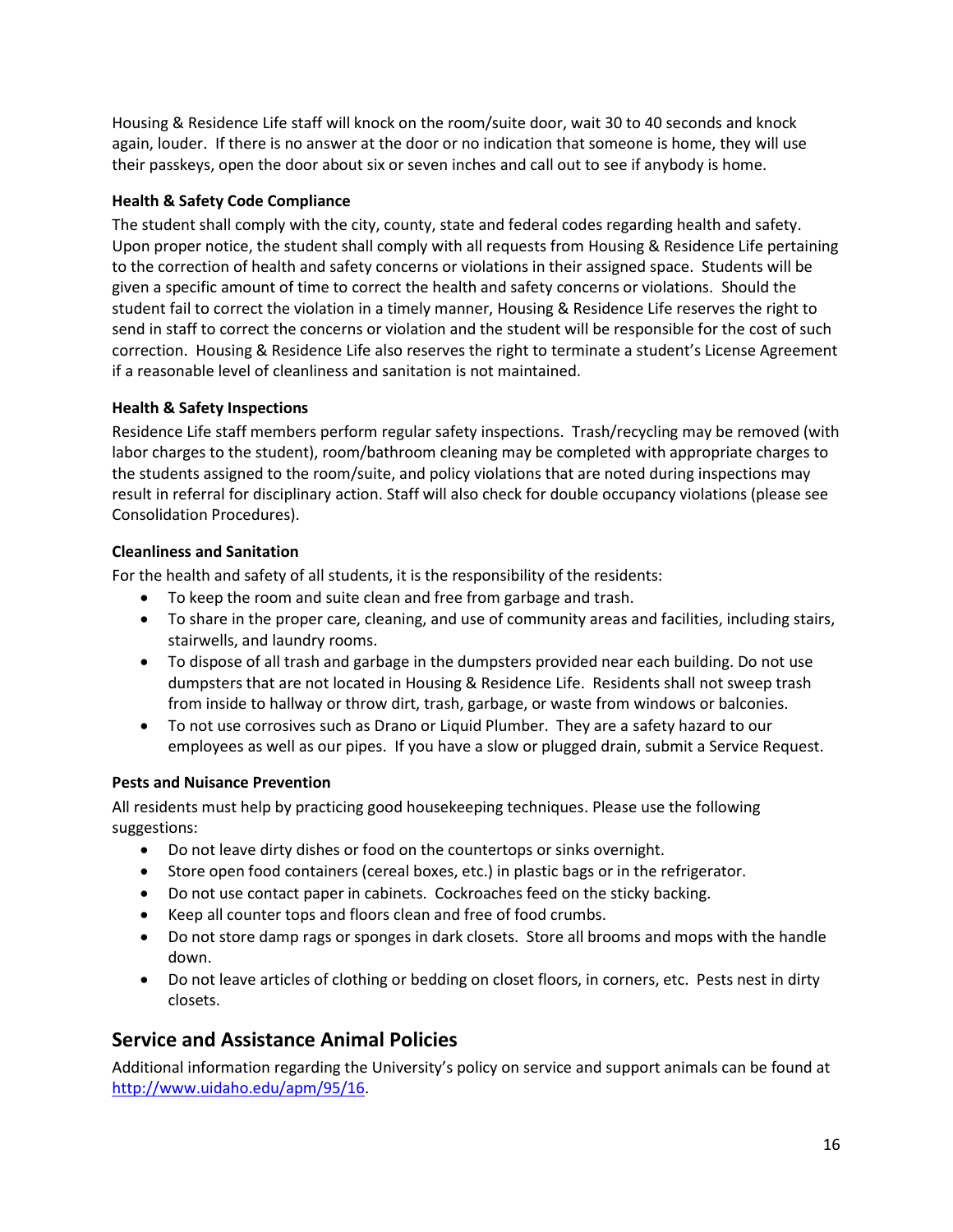Housing & Residence Life staff will knock on the room/suite door, wait 30 to 40 seconds and knock again, louder. If there is no answer at the door or no indication that someone is home, they will use their passkeys, open the door about six or seven inches and call out to see if anybody is home.

# **Health & Safety Code Compliance**

The student shall comply with the city, county, state and federal codes regarding health and safety. Upon proper notice, the student shall comply with all requests from Housing & Residence Life pertaining to the correction of health and safety concerns or violations in their assigned space. Students will be given a specific amount of time to correct the health and safety concerns or violations. Should the student fail to correct the violation in a timely manner, Housing & Residence Life reserves the right to send in staff to correct the concerns or violation and the student will be responsible for the cost of such correction. Housing & Residence Life also reserves the right to terminate a student's License Agreement if a reasonable level of cleanliness and sanitation is not maintained.

# **Health & Safety Inspections**

Residence Life staff members perform regular safety inspections. Trash/recycling may be removed (with labor charges to the student), room/bathroom cleaning may be completed with appropriate charges to the students assigned to the room/suite, and policy violations that are noted during inspections may result in referral for disciplinary action. Staff will also check for double occupancy violations (please see Consolidation Procedures).

# **Cleanliness and Sanitation**

For the health and safety of all students, it is the responsibility of the residents:

- To keep the room and suite clean and free from garbage and trash.
- To share in the proper care, cleaning, and use of community areas and facilities, including stairs, stairwells, and laundry rooms.
- To dispose of all trash and garbage in the dumpsters provided near each building. Do not use dumpsters that are not located in Housing & Residence Life. Residents shall not sweep trash from inside to hallway or throw dirt, trash, garbage, or waste from windows or balconies.
- To not use corrosives such as Drano or Liquid Plumber. They are a safety hazard to our employees as well as our pipes. If you have a slow or plugged drain, submit a Service Request.

#### **Pests and Nuisance Prevention**

All residents must help by practicing good housekeeping techniques. Please use the following suggestions:

- Do not leave dirty dishes or food on the countertops or sinks overnight.
- Store open food containers (cereal boxes, etc.) in plastic bags or in the refrigerator.
- Do not use contact paper in cabinets. Cockroaches feed on the sticky backing.
- Keep all counter tops and floors clean and free of food crumbs.
- Do not store damp rags or sponges in dark closets. Store all brooms and mops with the handle down.
- Do not leave articles of clothing or bedding on closet floors, in corners, etc. Pests nest in dirty closets.

# **Service and Assistance Animal Policies**

Additional information regarding the University's policy on service and support animals can be found at [http://www.uidaho.edu/apm/95/16.](http://www.uidaho.edu/apm/95/16)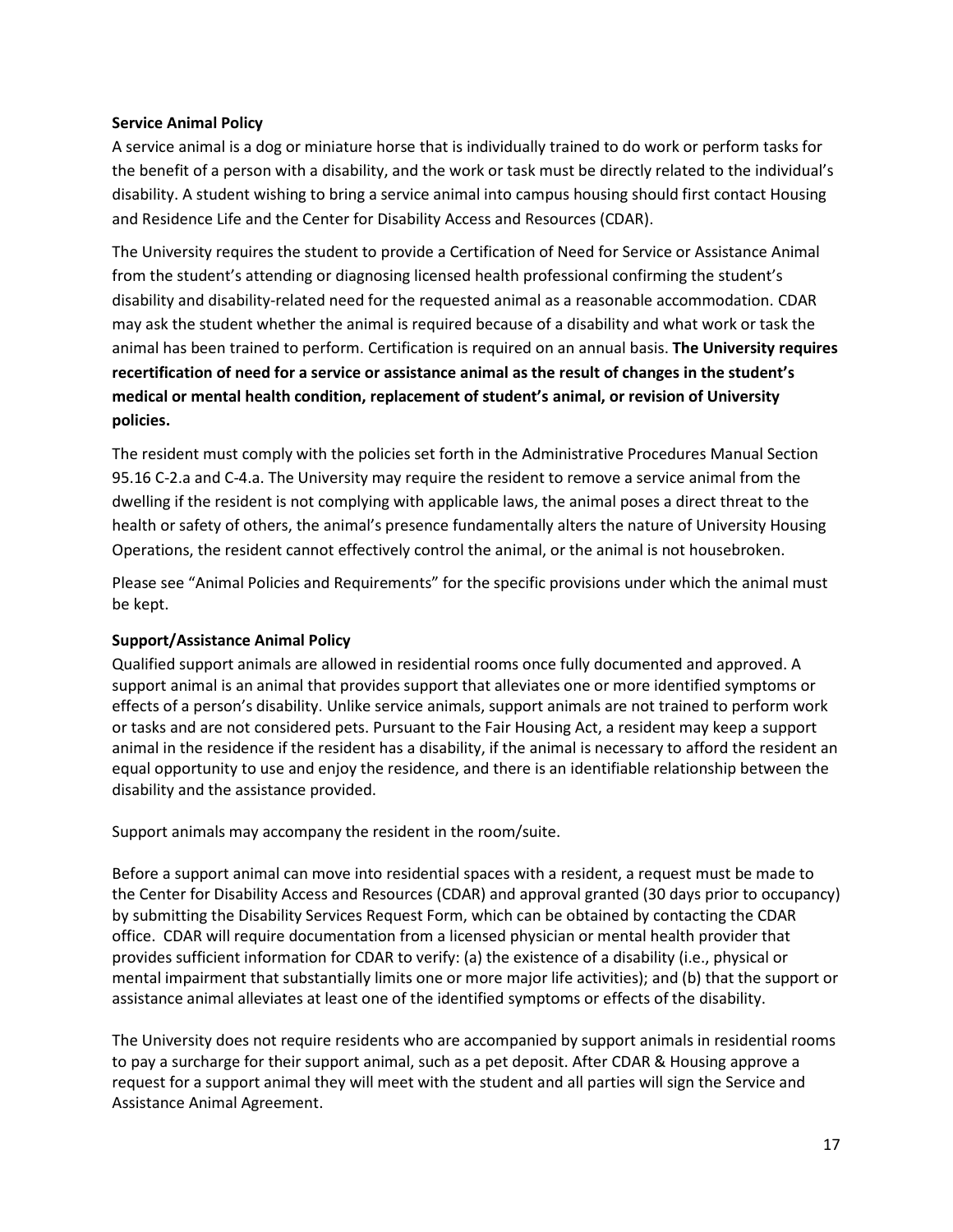#### **Service Animal Policy**

A service animal is a dog or miniature horse that is individually trained to do work or perform tasks for the benefit of a person with a disability, and the work or task must be directly related to the individual's disability. A student wishing to bring a service animal into campus housing should first contact Housing and Residence Life and the Center for Disability Access and Resources (CDAR).

The University requires the student to provide a Certification of Need for Service or Assistance Animal from the student's attending or diagnosing licensed health professional confirming the student's disability and disability-related need for the requested animal as a reasonable accommodation. CDAR may ask the student whether the animal is required because of a disability and what work or task the animal has been trained to perform. Certification is required on an annual basis. **The University requires recertification of need for a service or assistance animal as the result of changes in the student's medical or mental health condition, replacement of student's animal, or revision of University policies.**

The resident must comply with the policies set forth in the Administrative Procedures Manual Section 95.16 C-2.a and C-4.a. The University may require the resident to remove a service animal from the dwelling if the resident is not complying with applicable laws, the animal poses a direct threat to the health or safety of others, the animal's presence fundamentally alters the nature of University Housing Operations, the resident cannot effectively control the animal, or the animal is not housebroken.

Please see "Animal Policies and Requirements" for the specific provisions under which the animal must be kept.

#### **Support/Assistance Animal Policy**

Qualified support animals are allowed in residential rooms once fully documented and approved. A support animal is an animal that provides support that alleviates one or more identified symptoms or effects of a person's disability. Unlike service animals, support animals are not trained to perform work or tasks and are not considered pets. Pursuant to the Fair Housing Act, a resident may keep a support animal in the residence if the resident has a disability, if the animal is necessary to afford the resident an equal opportunity to use and enjoy the residence, and there is an identifiable relationship between the disability and the assistance provided.

Support animals may accompany the resident in the room/suite.

Before a support animal can move into residential spaces with a resident, a request must be made to the Center for Disability Access and Resources (CDAR) and approval granted (30 days prior to occupancy) by submitting the Disability Services Request Form, which can be obtained by contacting the CDAR office. CDAR will require documentation from a licensed physician or mental health provider that provides sufficient information for CDAR to verify: (a) the existence of a disability (i.e., physical or mental impairment that substantially limits one or more major life activities); and (b) that the support or assistance animal alleviates at least one of the identified symptoms or effects of the disability.

The University does not require residents who are accompanied by support animals in residential rooms to pay a surcharge for their support animal, such as a pet deposit. After CDAR & Housing approve a request for a support animal they will meet with the student and all parties will sign the Service and Assistance Animal Agreement.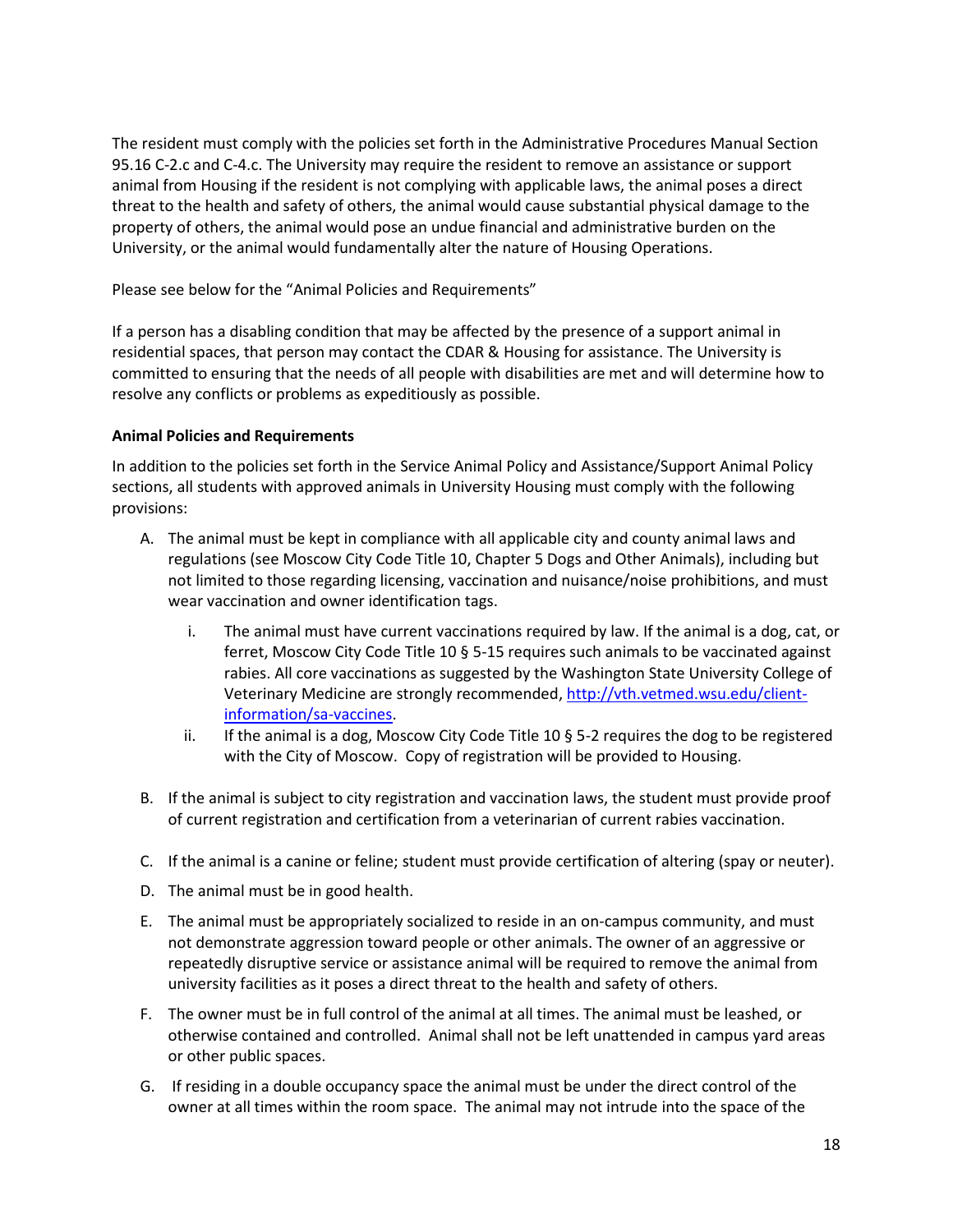The resident must comply with the policies set forth in the Administrative Procedures Manual Section 95.16 C-2.c and C-4.c. The University may require the resident to remove an assistance or support animal from Housing if the resident is not complying with applicable laws, the animal poses a direct threat to the health and safety of others, the animal would cause substantial physical damage to the property of others, the animal would pose an undue financial and administrative burden on the University, or the animal would fundamentally alter the nature of Housing Operations.

Please see below for the "Animal Policies and Requirements"

If a person has a disabling condition that may be affected by the presence of a support animal in residential spaces, that person may contact the CDAR & Housing for assistance. The University is committed to ensuring that the needs of all people with disabilities are met and will determine how to resolve any conflicts or problems as expeditiously as possible.

# **Animal Policies and Requirements**

In addition to the policies set forth in the Service Animal Policy and Assistance/Support Animal Policy sections, all students with approved animals in University Housing must comply with the following provisions:

- A. The animal must be kept in compliance with all applicable city and county animal laws and regulations (see Moscow City Code Title 10, Chapter 5 Dogs and Other Animals), including but not limited to those regarding licensing, vaccination and nuisance/noise prohibitions, and must wear vaccination and owner identification tags.
	- i. The animal must have current vaccinations required by law. If the animal is a dog, cat, or ferret, Moscow City Code Title 10 § 5-15 requires such animals to be vaccinated against rabies. All core vaccinations as suggested by the Washington State University College of Veterinary Medicine are strongly recommended, [http://vth.vetmed.wsu.edu/client](http://vth.vetmed.wsu.edu/client-information/sa-vaccines)[information/sa-vaccines.](http://vth.vetmed.wsu.edu/client-information/sa-vaccines)
	- ii. If the animal is a dog, Moscow City Code Title 10  $\S$  5-2 requires the dog to be registered with the City of Moscow. Copy of registration will be provided to Housing.
- B. If the animal is subject to city registration and vaccination laws, the student must provide proof of current registration and certification from a veterinarian of current rabies vaccination.
- C. If the animal is a canine or feline; student must provide certification of altering (spay or neuter).
- D. The animal must be in good health.
- E. The animal must be appropriately socialized to reside in an on-campus community, and must not demonstrate aggression toward people or other animals. The owner of an aggressive or repeatedly disruptive service or assistance animal will be required to remove the animal from university facilities as it poses a direct threat to the health and safety of others.
- F. The owner must be in full control of the animal at all times. The animal must be leashed, or otherwise contained and controlled. Animal shall not be left unattended in campus yard areas or other public spaces.
- G. If residing in a double occupancy space the animal must be under the direct control of the owner at all times within the room space. The animal may not intrude into the space of the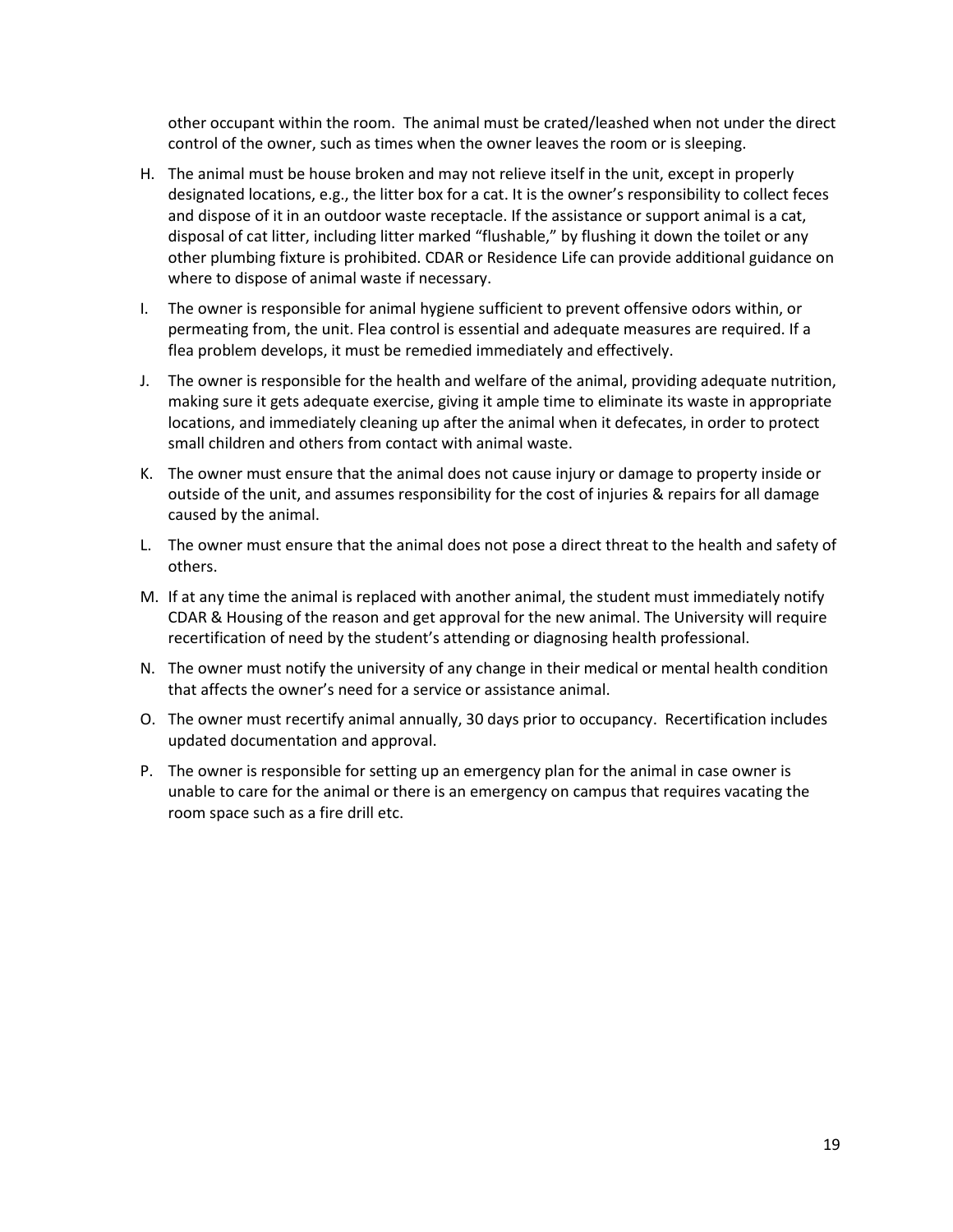other occupant within the room. The animal must be crated/leashed when not under the direct control of the owner, such as times when the owner leaves the room or is sleeping.

- H. The animal must be house broken and may not relieve itself in the unit, except in properly designated locations, e.g., the litter box for a cat. It is the owner's responsibility to collect feces and dispose of it in an outdoor waste receptacle. If the assistance or support animal is a cat, disposal of cat litter, including litter marked "flushable," by flushing it down the toilet or any other plumbing fixture is prohibited. CDAR or Residence Life can provide additional guidance on where to dispose of animal waste if necessary.
- I. The owner is responsible for animal hygiene sufficient to prevent offensive odors within, or permeating from, the unit. Flea control is essential and adequate measures are required. If a flea problem develops, it must be remedied immediately and effectively.
- J. The owner is responsible for the health and welfare of the animal, providing adequate nutrition, making sure it gets adequate exercise, giving it ample time to eliminate its waste in appropriate locations, and immediately cleaning up after the animal when it defecates, in order to protect small children and others from contact with animal waste.
- K. The owner must ensure that the animal does not cause injury or damage to property inside or outside of the unit, and assumes responsibility for the cost of injuries & repairs for all damage caused by the animal.
- L. The owner must ensure that the animal does not pose a direct threat to the health and safety of others.
- M. If at any time the animal is replaced with another animal, the student must immediately notify CDAR & Housing of the reason and get approval for the new animal. The University will require recertification of need by the student's attending or diagnosing health professional.
- N. The owner must notify the university of any change in their medical or mental health condition that affects the owner's need for a service or assistance animal.
- O. The owner must recertify animal annually, 30 days prior to occupancy. Recertification includes updated documentation and approval.
- P. The owner is responsible for setting up an emergency plan for the animal in case owner is unable to care for the animal or there is an emergency on campus that requires vacating the room space such as a fire drill etc.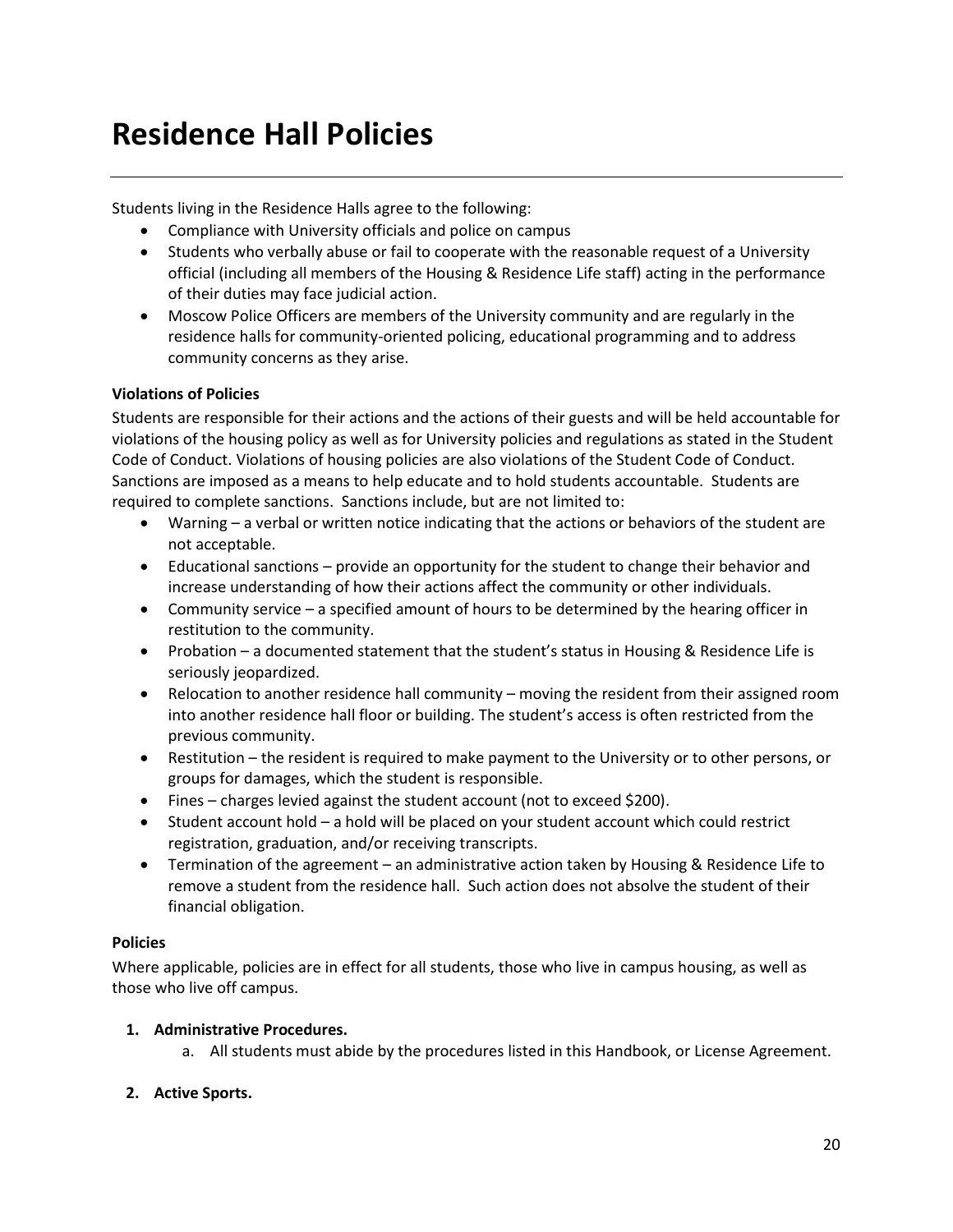# **Residence Hall Policies**

Students living in the Residence Halls agree to the following:

- Compliance with University officials and police on campus
- Students who verbally abuse or fail to cooperate with the reasonable request of a University official (including all members of the Housing & Residence Life staff) acting in the performance of their duties may face judicial action.
- Moscow Police Officers are members of the University community and are regularly in the residence halls for community-oriented policing, educational programming and to address community concerns as they arise.

#### **Violations of Policies**

Students are responsible for their actions and the actions of their guests and will be held accountable for violations of the housing policy as well as for University policies and regulations as stated in the Student Code of Conduct. Violations of housing policies are also violations of the Student Code of Conduct. Sanctions are imposed as a means to help educate and to hold students accountable. Students are required to complete sanctions. Sanctions include, but are not limited to:

- Warning a verbal or written notice indicating that the actions or behaviors of the student are not acceptable.
- Educational sanctions provide an opportunity for the student to change their behavior and increase understanding of how their actions affect the community or other individuals.
- Community service a specified amount of hours to be determined by the hearing officer in restitution to the community.
- Probation a documented statement that the student's status in Housing & Residence Life is seriously jeopardized.
- Relocation to another residence hall community moving the resident from their assigned room into another residence hall floor or building. The student's access is often restricted from the previous community.
- Restitution the resident is required to make payment to the University or to other persons, or groups for damages, which the student is responsible.
- Fines charges levied against the student account (not to exceed \$200).
- Student account hold a hold will be placed on your student account which could restrict registration, graduation, and/or receiving transcripts.
- Termination of the agreement an administrative action taken by Housing & Residence Life to remove a student from the residence hall. Such action does not absolve the student of their financial obligation.

#### **Policies**

Where applicable, policies are in effect for all students, those who live in campus housing, as well as those who live off campus.

# **1. Administrative Procedures.**

a. All students must abide by the procedures listed in this Handbook, or License Agreement.

# **2. Active Sports.**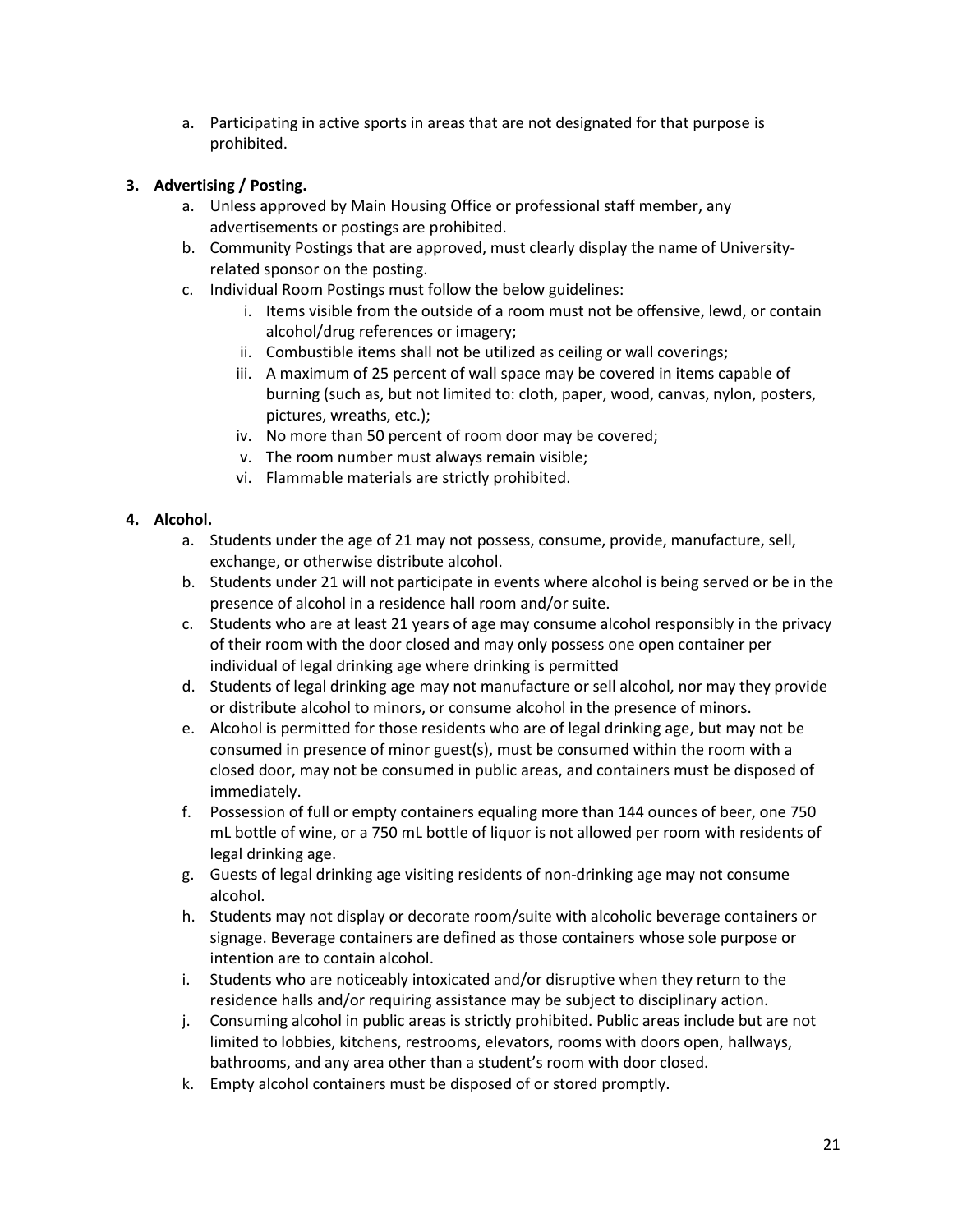a. Participating in active sports in areas that are not designated for that purpose is prohibited.

# **3. Advertising / Posting.**

- a. Unless approved by Main Housing Office or professional staff member, any advertisements or postings are prohibited.
- b. Community Postings that are approved, must clearly display the name of Universityrelated sponsor on the posting.
- c. Individual Room Postings must follow the below guidelines:
	- i. Items visible from the outside of a room must not be offensive, lewd, or contain alcohol/drug references or imagery;
	- ii. Combustible items shall not be utilized as ceiling or wall coverings;
	- iii. A maximum of 25 percent of wall space may be covered in items capable of burning (such as, but not limited to: cloth, paper, wood, canvas, nylon, posters, pictures, wreaths, etc.);
	- iv. No more than 50 percent of room door may be covered;
	- v. The room number must always remain visible;
	- vi. Flammable materials are strictly prohibited.

# **4. Alcohol.**

- a. Students under the age of 21 may not possess, consume, provide, manufacture, sell, exchange, or otherwise distribute alcohol.
- b. Students under 21 will not participate in events where alcohol is being served or be in the presence of alcohol in a residence hall room and/or suite.
- c. Students who are at least 21 years of age may consume alcohol responsibly in the privacy of their room with the door closed and may only possess one open container per individual of legal drinking age where drinking is permitted
- d. Students of legal drinking age may not manufacture or sell alcohol, nor may they provide or distribute alcohol to minors, or consume alcohol in the presence of minors.
- e. Alcohol is permitted for those residents who are of legal drinking age, but may not be consumed in presence of minor guest(s), must be consumed within the room with a closed door, may not be consumed in public areas, and containers must be disposed of immediately.
- f. Possession of full or empty containers equaling more than 144 ounces of beer, one 750 mL bottle of wine, or a 750 mL bottle of liquor is not allowed per room with residents of legal drinking age.
- g. Guests of legal drinking age visiting residents of non-drinking age may not consume alcohol.
- h. Students may not display or decorate room/suite with alcoholic beverage containers or signage. Beverage containers are defined as those containers whose sole purpose or intention are to contain alcohol.
- i. Students who are noticeably intoxicated and/or disruptive when they return to the residence halls and/or requiring assistance may be subject to disciplinary action.
- j. Consuming alcohol in public areas is strictly prohibited. Public areas include but are not limited to lobbies, kitchens, restrooms, elevators, rooms with doors open, hallways, bathrooms, and any area other than a student's room with door closed.
- k. Empty alcohol containers must be disposed of or stored promptly.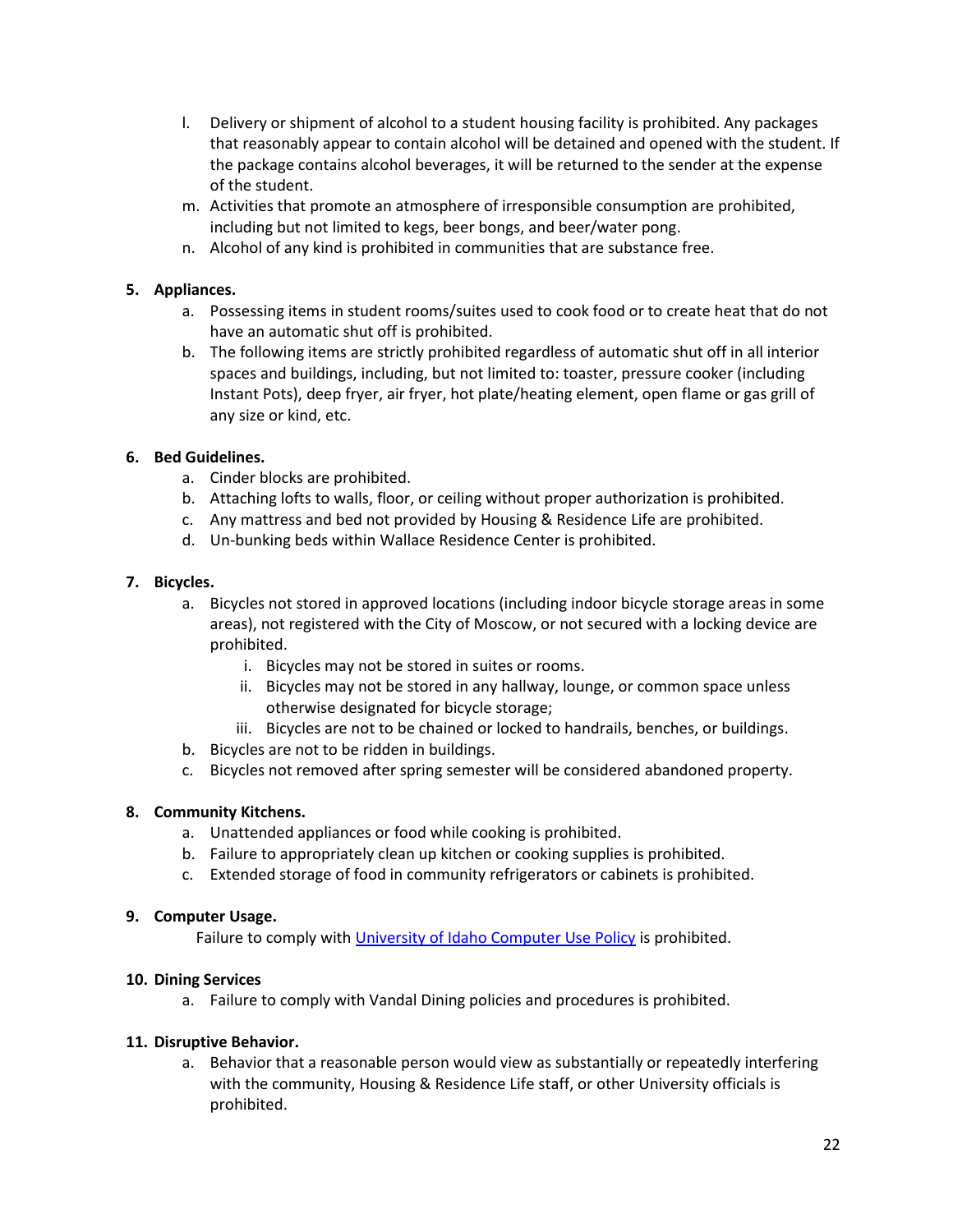- l. Delivery or shipment of alcohol to a student housing facility is prohibited. Any packages that reasonably appear to contain alcohol will be detained and opened with the student. If the package contains alcohol beverages, it will be returned to the sender at the expense of the student.
- m. Activities that promote an atmosphere of irresponsible consumption are prohibited, including but not limited to kegs, beer bongs, and beer/water pong.
- n. Alcohol of any kind is prohibited in communities that are substance free.

# **5. Appliances.**

- a. Possessing items in student rooms/suites used to cook food or to create heat that do not have an automatic shut off is prohibited.
- b. The following items are strictly prohibited regardless of automatic shut off in all interior spaces and buildings, including, but not limited to: toaster, pressure cooker (including Instant Pots), deep fryer, air fryer, hot plate/heating element, open flame or gas grill of any size or kind, etc.

# **6. Bed Guidelines.**

- a. Cinder blocks are prohibited.
- b. Attaching lofts to walls, floor, or ceiling without proper authorization is prohibited.
- c. Any mattress and bed not provided by Housing & Residence Life are prohibited.
- d. Un-bunking beds within Wallace Residence Center is prohibited.

#### **7. Bicycles.**

- a. Bicycles not stored in approved locations (including indoor bicycle storage areas in some areas), not registered with the City of Moscow, or not secured with a locking device are prohibited.
	- i. Bicycles may not be stored in suites or rooms.
	- ii. Bicycles may not be stored in any hallway, lounge, or common space unless otherwise designated for bicycle storage;
	- iii. Bicycles are not to be chained or locked to handrails, benches, or buildings.
- b. Bicycles are not to be ridden in buildings.
- c. Bicycles not removed after spring semester will be considered abandoned property.

# **8. Community Kitchens.**

- a. Unattended appliances or food while cooking is prohibited.
- b. Failure to appropriately clean up kitchen or cooking supplies is prohibited.
- c. Extended storage of food in community refrigerators or cabinets is prohibited.

#### **9. Computer Usage.**

Failure to comply with [University of Idaho Computer Use Policy](https://www.uidaho.edu/governance/policy/policies/apm/30/12) is prohibited.

#### **10. Dining Services**

a. Failure to comply with Vandal Dining policies and procedures is prohibited.

#### **11. Disruptive Behavior.**

a. Behavior that a reasonable person would view as substantially or repeatedly interfering with the community, Housing & Residence Life staff, or other University officials is prohibited.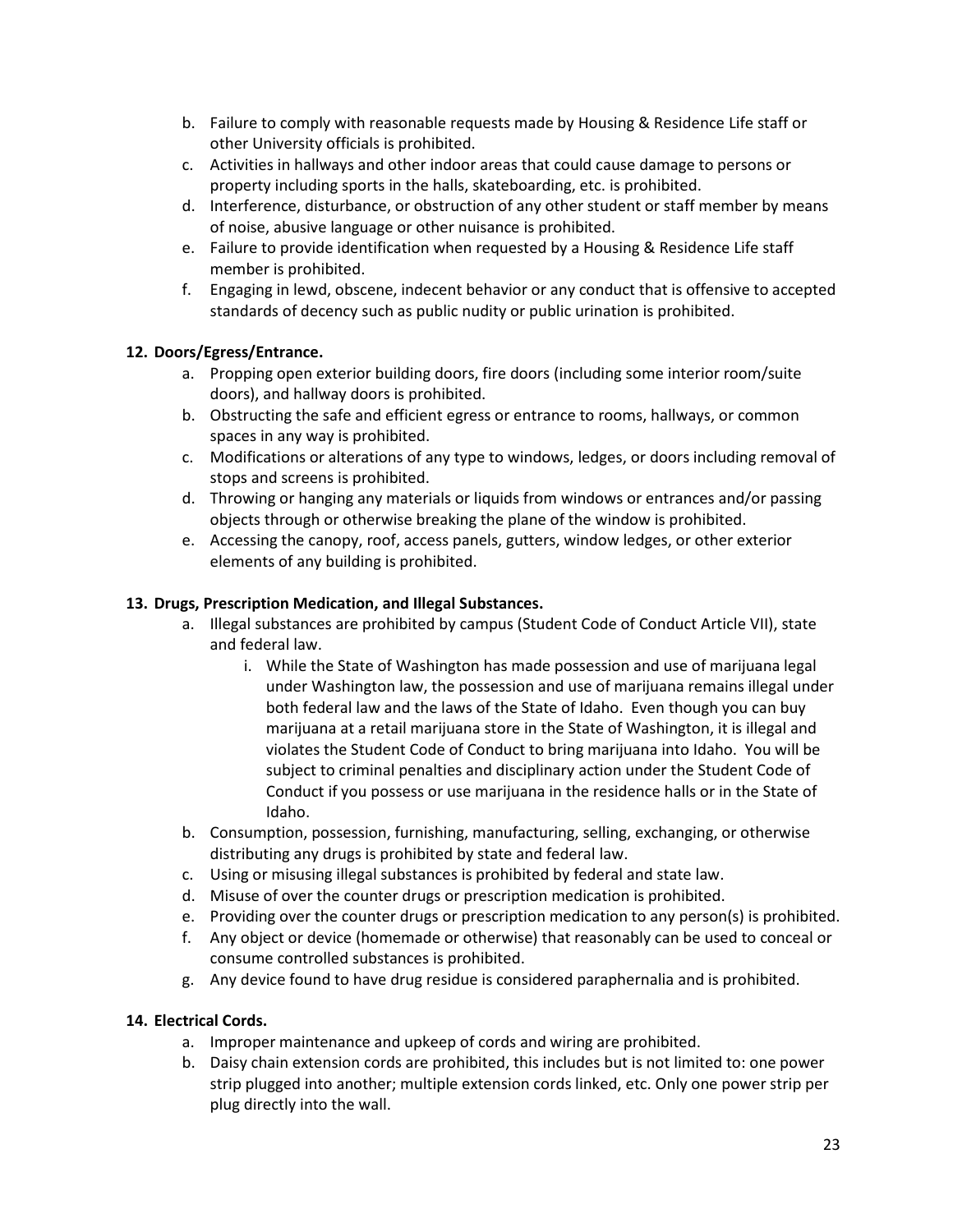- b. Failure to comply with reasonable requests made by Housing & Residence Life staff or other University officials is prohibited.
- c. Activities in hallways and other indoor areas that could cause damage to persons or property including sports in the halls, skateboarding, etc. is prohibited.
- d. Interference, disturbance, or obstruction of any other student or staff member by means of noise, abusive language or other nuisance is prohibited.
- e. Failure to provide identification when requested by a Housing & Residence Life staff member is prohibited.
- f. Engaging in lewd, obscene, indecent behavior or any conduct that is offensive to accepted standards of decency such as public nudity or public urination is prohibited.

# **12. Doors/Egress/Entrance.**

- a. Propping open exterior building doors, fire doors (including some interior room/suite doors), and hallway doors is prohibited.
- b. Obstructing the safe and efficient egress or entrance to rooms, hallways, or common spaces in any way is prohibited.
- c. Modifications or alterations of any type to windows, ledges, or doors including removal of stops and screens is prohibited.
- d. Throwing or hanging any materials or liquids from windows or entrances and/or passing objects through or otherwise breaking the plane of the window is prohibited.
- e. Accessing the canopy, roof, access panels, gutters, window ledges, or other exterior elements of any building is prohibited.

# **13. Drugs, Prescription Medication, and Illegal Substances.**

- a. Illegal substances are prohibited by campus (Student Code of Conduct Article VII), state and federal law.
	- i. While the State of Washington has made possession and use of marijuana legal under Washington law, the possession and use of marijuana remains illegal under both federal law and the laws of the State of Idaho. Even though you can buy marijuana at a retail marijuana store in the State of Washington, it is illegal and violates the Student Code of Conduct to bring marijuana into Idaho. You will be subject to criminal penalties and disciplinary action under the Student Code of Conduct if you possess or use marijuana in the residence halls or in the State of Idaho.
- b. Consumption, possession, furnishing, manufacturing, selling, exchanging, or otherwise distributing any drugs is prohibited by state and federal law.
- c. Using or misusing illegal substances is prohibited by federal and state law.
- d. Misuse of over the counter drugs or prescription medication is prohibited.
- e. Providing over the counter drugs or prescription medication to any person(s) is prohibited.
- f. Any object or device (homemade or otherwise) that reasonably can be used to conceal or consume controlled substances is prohibited.
- g. Any device found to have drug residue is considered paraphernalia and is prohibited.

#### **14. Electrical Cords.**

- a. Improper maintenance and upkeep of cords and wiring are prohibited.
- b. Daisy chain extension cords are prohibited, this includes but is not limited to: one power strip plugged into another; multiple extension cords linked, etc. Only one power strip per plug directly into the wall.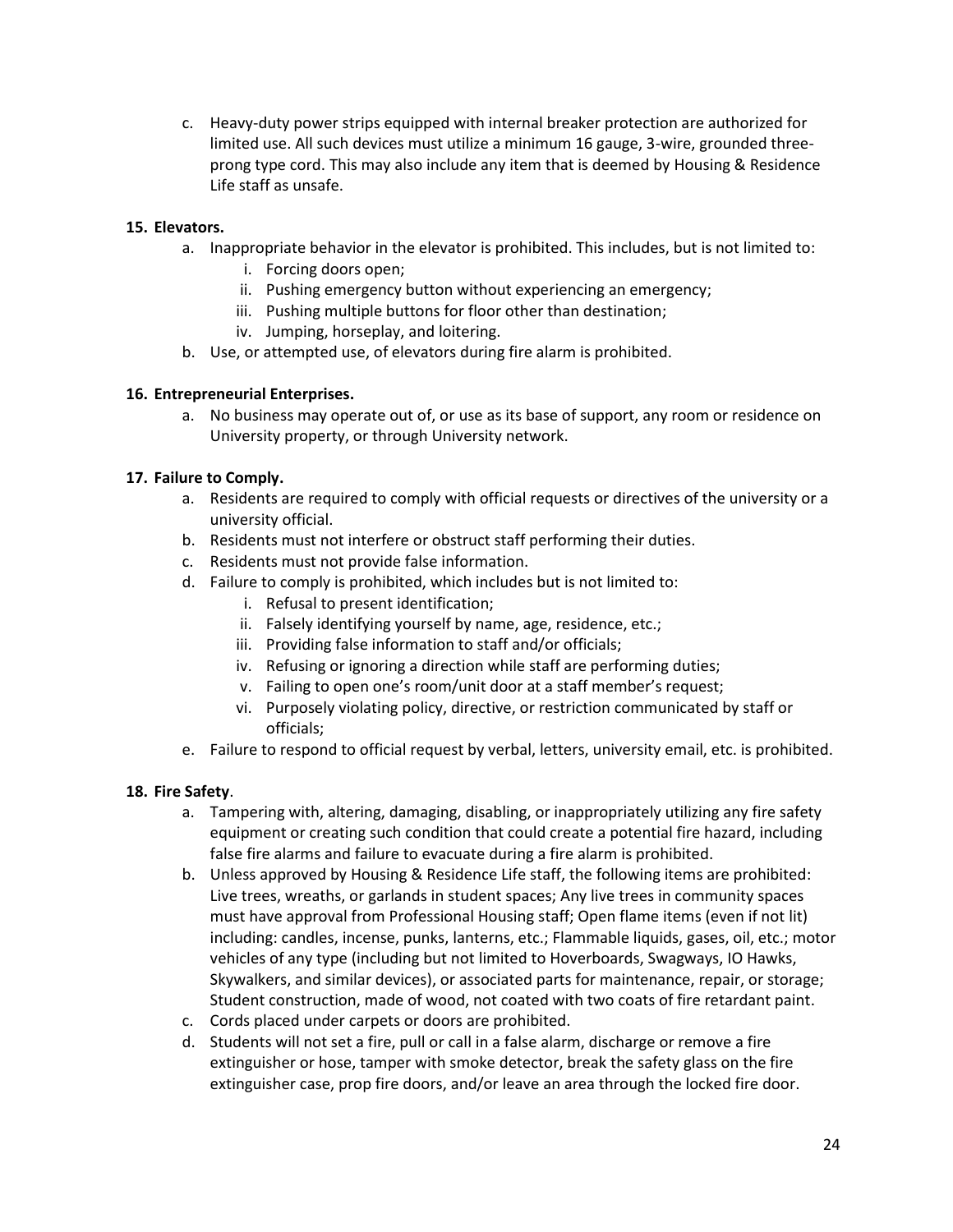c. Heavy-duty power strips equipped with internal breaker protection are authorized for limited use. All such devices must utilize a minimum 16 gauge, 3-wire, grounded threeprong type cord. This may also include any item that is deemed by Housing & Residence Life staff as unsafe.

# **15. Elevators.**

- a. Inappropriate behavior in the elevator is prohibited. This includes, but is not limited to:
	- i. Forcing doors open;
	- ii. Pushing emergency button without experiencing an emergency;
	- iii. Pushing multiple buttons for floor other than destination;
	- iv. Jumping, horseplay, and loitering.
- b. Use, or attempted use, of elevators during fire alarm is prohibited.

#### **16. Entrepreneurial Enterprises.**

a. No business may operate out of, or use as its base of support, any room or residence on University property, or through University network.

# **17. Failure to Comply.**

- a. Residents are required to comply with official requests or directives of the university or a university official.
- b. Residents must not interfere or obstruct staff performing their duties.
- c. Residents must not provide false information.
- d. Failure to comply is prohibited, which includes but is not limited to:
	- i. Refusal to present identification;
	- ii. Falsely identifying yourself by name, age, residence, etc.;
	- iii. Providing false information to staff and/or officials;
	- iv. Refusing or ignoring a direction while staff are performing duties;
	- v. Failing to open one's room/unit door at a staff member's request;
	- vi. Purposely violating policy, directive, or restriction communicated by staff or officials;
- e. Failure to respond to official request by verbal, letters, university email, etc. is prohibited.

#### **18. Fire Safety**.

- a. Tampering with, altering, damaging, disabling, or inappropriately utilizing any fire safety equipment or creating such condition that could create a potential fire hazard, including false fire alarms and failure to evacuate during a fire alarm is prohibited.
- b. Unless approved by Housing & Residence Life staff, the following items are prohibited: Live trees, wreaths, or garlands in student spaces; Any live trees in community spaces must have approval from Professional Housing staff; Open flame items (even if not lit) including: candles, incense, punks, lanterns, etc.; Flammable liquids, gases, oil, etc.; motor vehicles of any type (including but not limited to Hoverboards, Swagways, IO Hawks, Skywalkers, and similar devices), or associated parts for maintenance, repair, or storage; Student construction, made of wood, not coated with two coats of fire retardant paint.
- c. Cords placed under carpets or doors are prohibited.
- d. Students will not set a fire, pull or call in a false alarm, discharge or remove a fire extinguisher or hose, tamper with smoke detector, break the safety glass on the fire extinguisher case, prop fire doors, and/or leave an area through the locked fire door.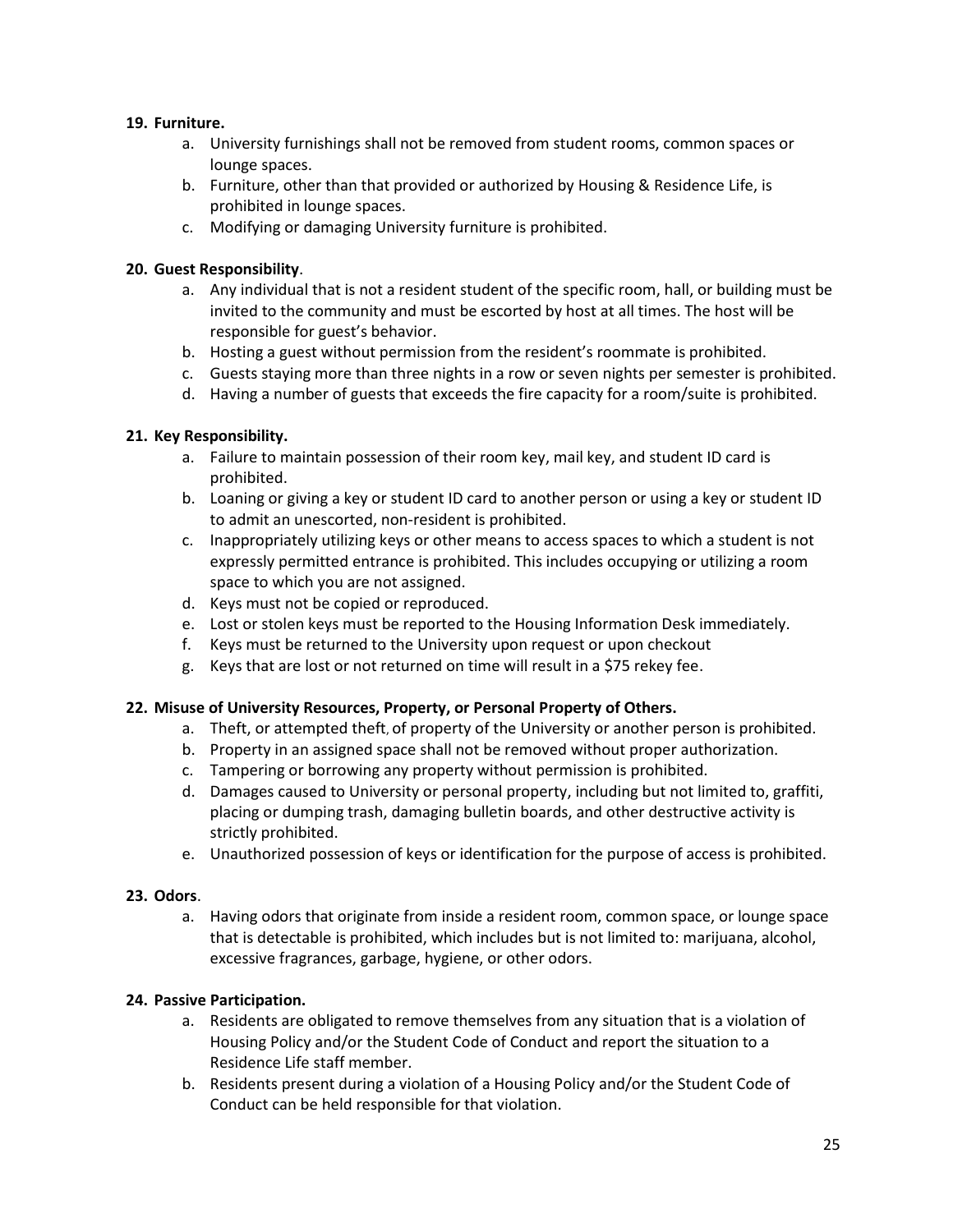# **19. Furniture.**

- a. University furnishings shall not be removed from student rooms, common spaces or lounge spaces.
- b. Furniture, other than that provided or authorized by Housing & Residence Life, is prohibited in lounge spaces.
- c. Modifying or damaging University furniture is prohibited.

# **20. Guest Responsibility**.

- a. Any individual that is not a resident student of the specific room, hall, or building must be invited to the community and must be escorted by host at all times. The host will be responsible for guest's behavior.
- b. Hosting a guest without permission from the resident's roommate is prohibited.
- c. Guests staying more than three nights in a row or seven nights per semester is prohibited.
- d. Having a number of guests that exceeds the fire capacity for a room/suite is prohibited.

# **21. Key Responsibility.**

- a. Failure to maintain possession of their room key, mail key, and student ID card is prohibited.
- b. Loaning or giving a key or student ID card to another person or using a key or student ID to admit an unescorted, non-resident is prohibited.
- c. Inappropriately utilizing keys or other means to access spaces to which a student is not expressly permitted entrance is prohibited. This includes occupying or utilizing a room space to which you are not assigned.
- d. Keys must not be copied or reproduced.
- e. Lost or stolen keys must be reported to the Housing Information Desk immediately.
- f. Keys must be returned to the University upon request or upon checkout
- g. Keys that are lost or not returned on time will result in a \$75 rekey fee.

#### **22. Misuse of University Resources, Property, or Personal Property of Others.**

- a. Theft, or attempted theft, of property of the University or another person is prohibited.
- b. Property in an assigned space shall not be removed without proper authorization.
- c. Tampering or borrowing any property without permission is prohibited.
- d. Damages caused to University or personal property, including but not limited to, graffiti, placing or dumping trash, damaging bulletin boards, and other destructive activity is strictly prohibited.
- e. Unauthorized possession of keys or identification for the purpose of access is prohibited.

#### **23. Odors**.

a. Having odors that originate from inside a resident room, common space, or lounge space that is detectable is prohibited, which includes but is not limited to: marijuana, alcohol, excessive fragrances, garbage, hygiene, or other odors.

# **24. Passive Participation.**

- a. Residents are obligated to remove themselves from any situation that is a violation of Housing Policy and/or the Student Code of Conduct and report the situation to a Residence Life staff member.
- b. Residents present during a violation of a Housing Policy and/or the Student Code of Conduct can be held responsible for that violation.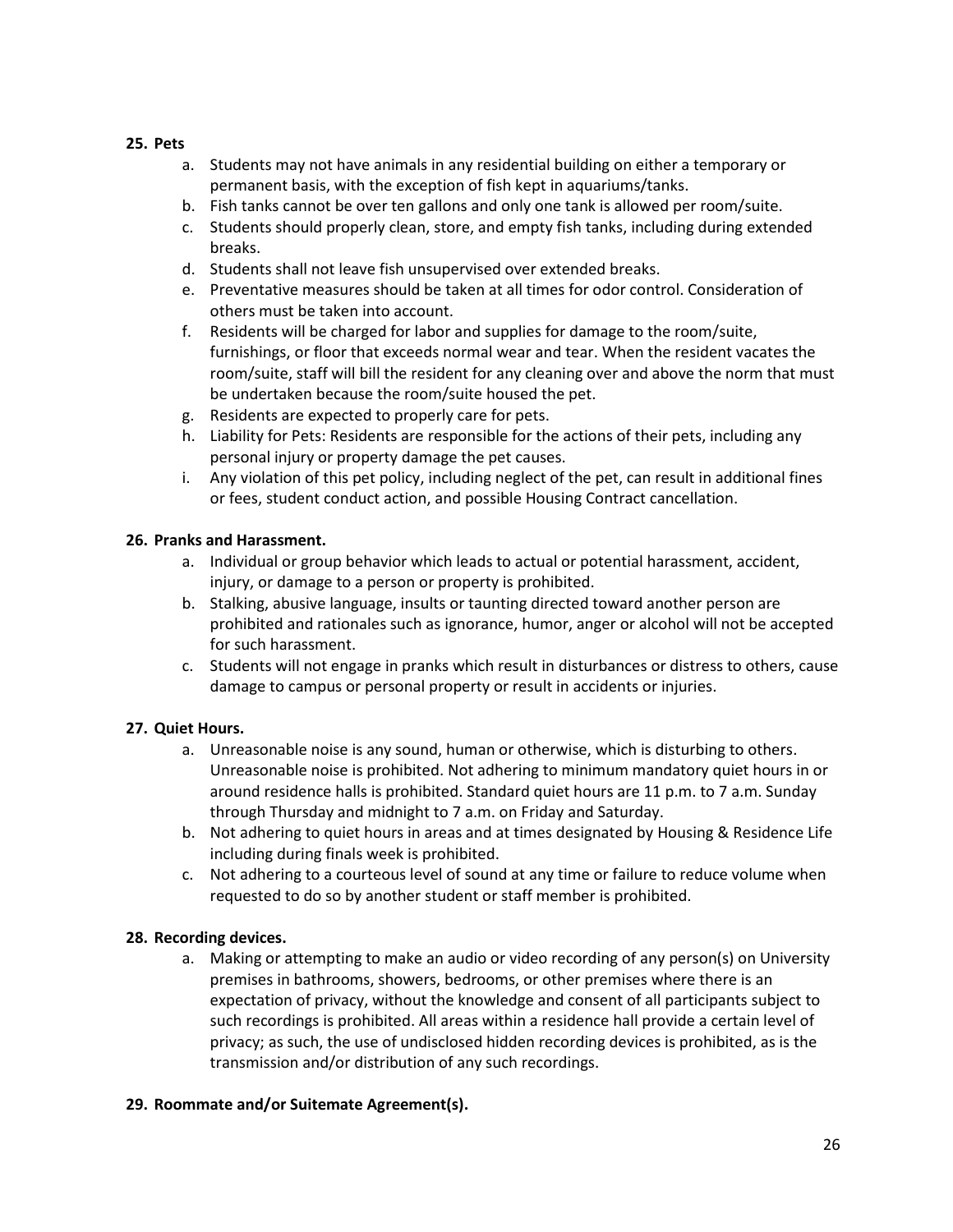# **25. Pets**

- a. Students may not have animals in any residential building on either a temporary or permanent basis, with the exception of fish kept in aquariums/tanks.
- b. Fish tanks cannot be over ten gallons and only one tank is allowed per room/suite.
- c. Students should properly clean, store, and empty fish tanks, including during extended breaks.
- d. Students shall not leave fish unsupervised over extended breaks.
- e. Preventative measures should be taken at all times for odor control. Consideration of others must be taken into account.
- f. Residents will be charged for labor and supplies for damage to the room/suite, furnishings, or floor that exceeds normal wear and tear. When the resident vacates the room/suite, staff will bill the resident for any cleaning over and above the norm that must be undertaken because the room/suite housed the pet.
- g. Residents are expected to properly care for pets.
- h. Liability for Pets: Residents are responsible for the actions of their pets, including any personal injury or property damage the pet causes.
- i. Any violation of this pet policy, including neglect of the pet, can result in additional fines or fees, student conduct action, and possible Housing Contract cancellation.

# **26. Pranks and Harassment.**

- a. Individual or group behavior which leads to actual or potential harassment, accident, injury, or damage to a person or property is prohibited.
- b. Stalking, abusive language, insults or taunting directed toward another person are prohibited and rationales such as ignorance, humor, anger or alcohol will not be accepted for such harassment.
- c. Students will not engage in pranks which result in disturbances or distress to others, cause damage to campus or personal property or result in accidents or injuries.

# **27. Quiet Hours.**

- a. Unreasonable noise is any sound, human or otherwise, which is disturbing to others. Unreasonable noise is prohibited. Not adhering to minimum mandatory quiet hours in or around residence halls is prohibited. Standard quiet hours are 11 p.m. to 7 a.m. Sunday through Thursday and midnight to 7 a.m. on Friday and Saturday.
- b. Not adhering to quiet hours in areas and at times designated by Housing & Residence Life including during finals week is prohibited.
- c. Not adhering to a courteous level of sound at any time or failure to reduce volume when requested to do so by another student or staff member is prohibited.

# **28. Recording devices.**

a. Making or attempting to make an audio or video recording of any person(s) on University premises in bathrooms, showers, bedrooms, or other premises where there is an expectation of privacy, without the knowledge and consent of all participants subject to such recordings is prohibited. All areas within a residence hall provide a certain level of privacy; as such, the use of undisclosed hidden recording devices is prohibited, as is the transmission and/or distribution of any such recordings.

#### **29. Roommate and/or Suitemate Agreement(s).**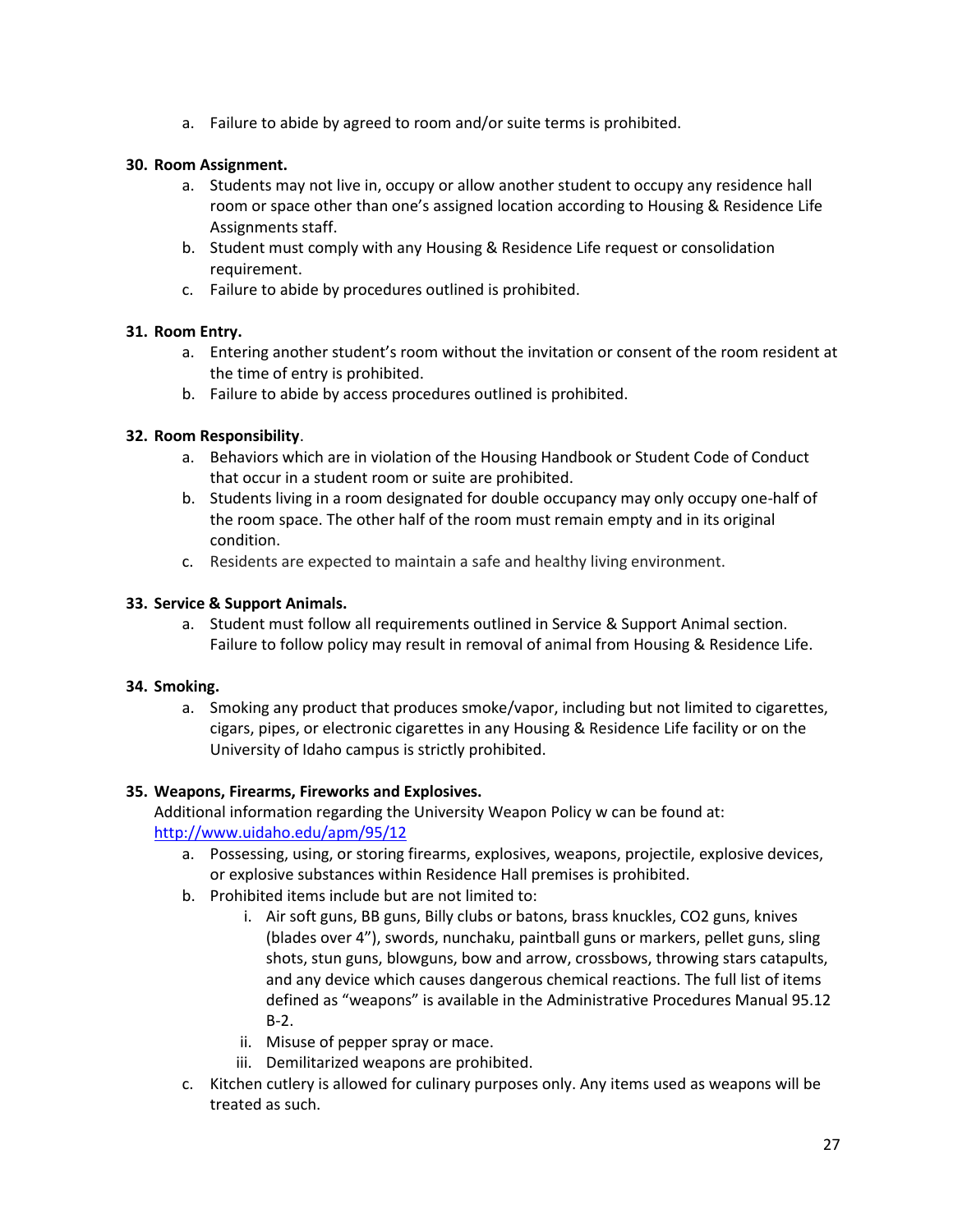a. Failure to abide by agreed to room and/or suite terms is prohibited.

# **30. Room Assignment.**

- a. Students may not live in, occupy or allow another student to occupy any residence hall room or space other than one's assigned location according to Housing & Residence Life Assignments staff.
- b. Student must comply with any Housing & Residence Life request or consolidation requirement.
- c. Failure to abide by procedures outlined is prohibited.

# **31. Room Entry.**

- a. Entering another student's room without the invitation or consent of the room resident at the time of entry is prohibited.
- b. Failure to abide by access procedures outlined is prohibited.

# **32. Room Responsibility**.

- a. Behaviors which are in violation of the Housing Handbook or Student Code of Conduct that occur in a student room or suite are prohibited.
- b. Students living in a room designated for double occupancy may only occupy one-half of the room space. The other half of the room must remain empty and in its original condition.
- c. Residents are expected to maintain a safe and healthy living environment.

# **33. Service & Support Animals.**

a. Student must follow all requirements outlined in Service & Support Animal section. Failure to follow policy may result in removal of animal from Housing & Residence Life.

#### **34. Smoking.**

a. Smoking any product that produces smoke/vapor, including but not limited to cigarettes, cigars, pipes, or electronic cigarettes in any Housing & Residence Life facility or on the University of Idaho campus is strictly prohibited.

# **35. Weapons, Firearms, Fireworks and Explosives.**

Additional information regarding the University Weapon Policy w can be found at: <http://www.uidaho.edu/apm/95/12>

- a. Possessing, using, or storing firearms, explosives, weapons, projectile, explosive devices, or explosive substances within Residence Hall premises is prohibited.
- b. Prohibited items include but are not limited to:
	- i. Air soft guns, BB guns, Billy clubs or batons, brass knuckles, CO2 guns, knives (blades over 4"), swords, nunchaku, paintball guns or markers, pellet guns, sling shots, stun guns, blowguns, bow and arrow, crossbows, throwing stars catapults, and any device which causes dangerous chemical reactions. The full list of items defined as "weapons" is available in the Administrative Procedures Manual 95.12 B-2.
	- ii. Misuse of pepper spray or mace.
	- iii. Demilitarized weapons are prohibited.
- c. Kitchen cutlery is allowed for culinary purposes only. Any items used as weapons will be treated as such.